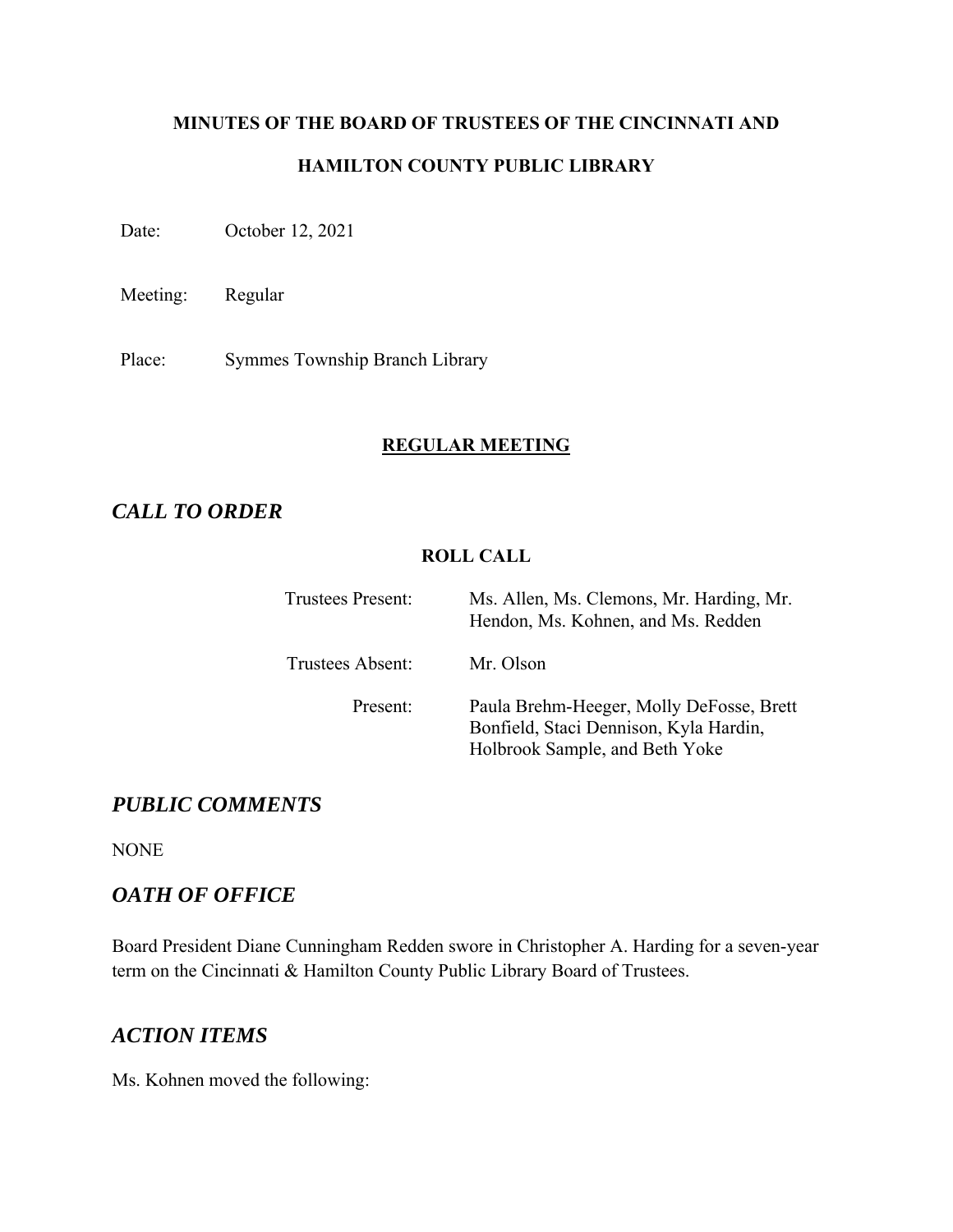# **MINUTES OF THE BOARD OF TRUSTEES OF THE CINCINNATI AND HAMILTON COUNTY PUBLIC LIBRARY**

Date: October 12, 2021

Meeting: Regular

Place: Symmes Township Branch Library

# **REGULAR MEETING**

# *CALL TO ORDER*

# **ROLL CALL**

| <b>Trustees Present:</b> | Ms. Allen, Ms. Clemons, Mr. Harding, Mr.<br>Hendon, Ms. Kohnen, and Ms. Redden                                       |
|--------------------------|----------------------------------------------------------------------------------------------------------------------|
| Trustees Absent:         | Mr. Olson                                                                                                            |
| Present:                 | Paula Brehm-Heeger, Molly DeFosse, Brett<br>Bonfield, Staci Dennison, Kyla Hardin,<br>Holbrook Sample, and Beth Yoke |

# *PUBLIC COMMENTS*

NONE

# *OATH OF OFFICE*

Board President Diane Cunningham Redden swore in Christopher A. Harding for a seven-year term on the Cincinnati & Hamilton County Public Library Board of Trustees.

# *ACTION ITEMS*

Ms. Kohnen moved the following: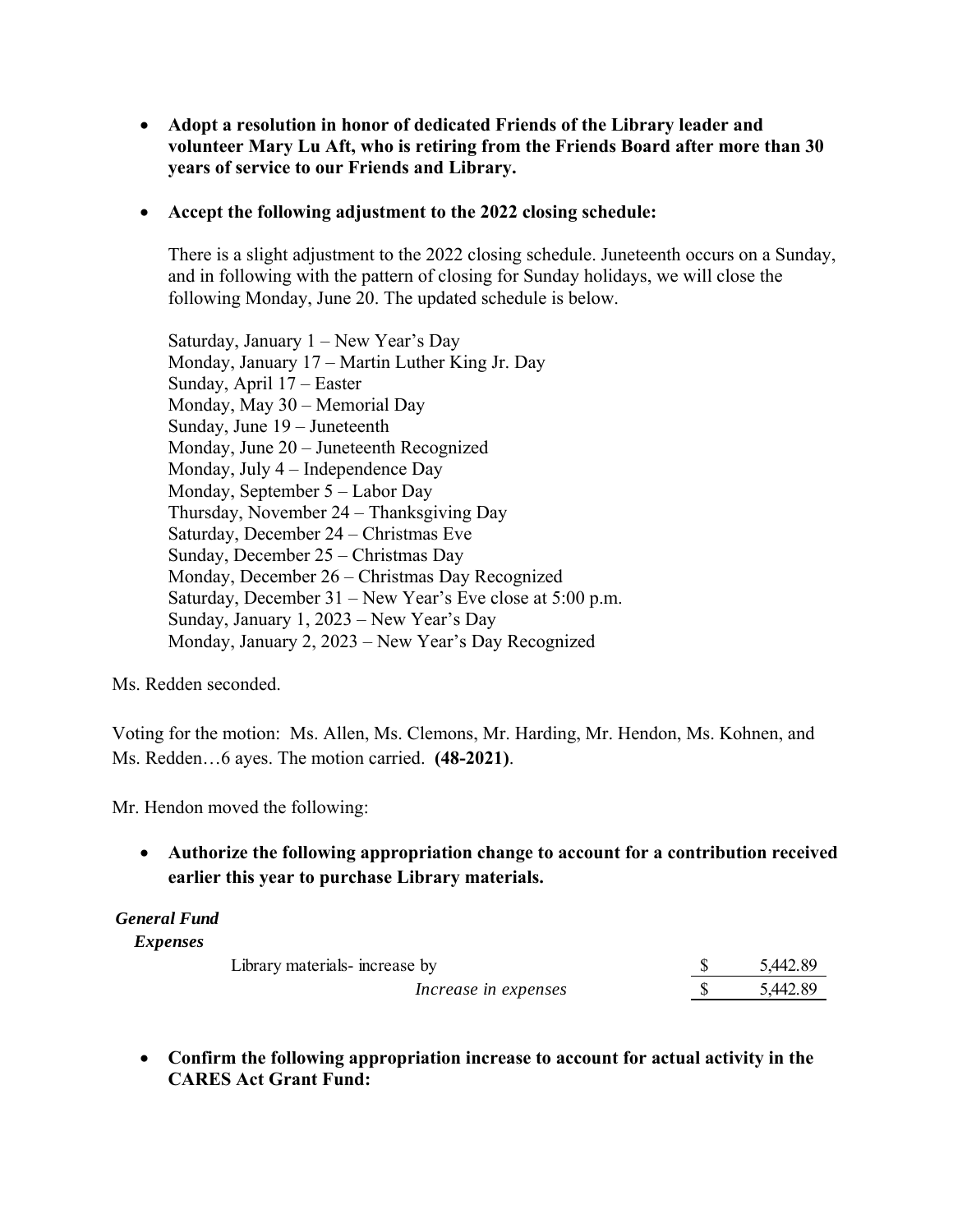**Adopt a resolution in honor of dedicated Friends of the Library leader and volunteer Mary Lu Aft, who is retiring from the Friends Board after more than 30 years of service to our Friends and Library.** 

#### **Accept the following adjustment to the 2022 closing schedule:**

There is a slight adjustment to the 2022 closing schedule. Juneteenth occurs on a Sunday, and in following with the pattern of closing for Sunday holidays, we will close the following Monday, June 20. The updated schedule is below.

Saturday, January 1 – New Year's Day Monday, January 17 – Martin Luther King Jr. Day Sunday, April 17 – Easter Monday, May 30 – Memorial Day Sunday, June 19 – Juneteenth Monday, June 20 – Juneteenth Recognized Monday, July 4 – Independence Day Monday, September 5 – Labor Day Thursday, November 24 – Thanksgiving Day Saturday, December 24 – Christmas Eve Sunday, December 25 – Christmas Day Monday, December 26 – Christmas Day Recognized Saturday, December 31 – New Year's Eve close at 5:00 p.m. Sunday, January 1, 2023 – New Year's Day Monday, January 2, 2023 – New Year's Day Recognized

Ms. Redden seconded.

Voting for the motion: Ms. Allen, Ms. Clemons, Mr. Harding, Mr. Hendon, Ms. Kohnen, and Ms. Redden…6 ayes. The motion carried. **(48-2021)**.

Mr. Hendon moved the following:

 **Authorize the following appropriation change to account for a contribution received earlier this year to purchase Library materials.** 

### *General Fund*

*Expenses*

| Library materials-increase by | 5,442.89 |
|-------------------------------|----------|
| Increase in expenses          | 5,442.89 |

 **Confirm the following appropriation increase to account for actual activity in the CARES Act Grant Fund:**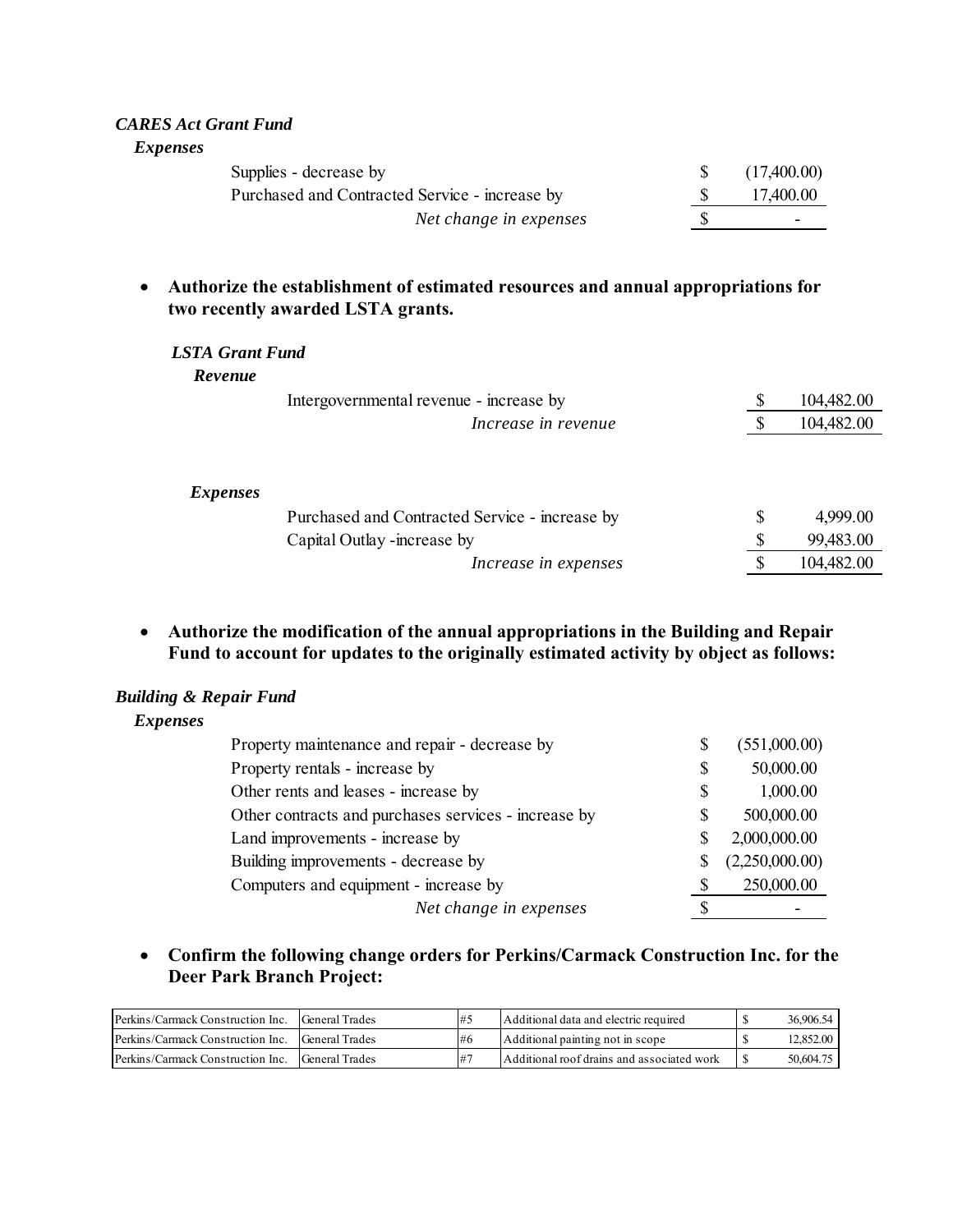#### *CARES Act Grant Fund*

*Expenses*

| Supplies - decrease by                         | (17,400.00) |
|------------------------------------------------|-------------|
| Purchased and Contracted Service - increase by | 17,400.00   |
| Net change in expenses                         |             |

### **Authorize the establishment of estimated resources and annual appropriations for two recently awarded LSTA grants.**

#### *LSTA Grant Fund*

*Revenue*

|                 | Intergovernmental revenue - increase by        |   | 104,482.00 |
|-----------------|------------------------------------------------|---|------------|
|                 | Increase in revenue                            |   | 104,482.00 |
|                 |                                                |   |            |
| <i>Expenses</i> |                                                |   |            |
|                 | Purchased and Contracted Service - increase by | S | 4,999.00   |
|                 | Capital Outlay -increase by                    |   | 99,483.00  |
|                 | Increase in expenses                           |   | 104,482.00 |

 **Authorize the modification of the annual appropriations in the Building and Repair Fund to account for updates to the originally estimated activity by object as follows:** 

#### *Building & Repair Fund*

*Expenses*

| Property maintenance and repair - decrease by        |    | (551,000.00)   |
|------------------------------------------------------|----|----------------|
| Property rentals - increase by                       | \$ | 50,000.00      |
| Other rents and leases - increase by                 | S  | 1,000.00       |
| Other contracts and purchases services - increase by | S  | 500,000.00     |
| Land improvements - increase by                      | S  | 2,000,000.00   |
| Building improvements - decrease by                  | S  | (2,250,000.00) |
| Computers and equipment - increase by                | S  | 250,000.00     |
| Net change in expenses                               |    |                |

 **Confirm the following change orders for Perkins/Carmack Construction Inc. for the Deer Park Branch Project:** 

| Perkins/Carmack Construction Inc.                | General Trades | <b>#1</b> | Additional data and electric required      | 36,906.54 |
|--------------------------------------------------|----------------|-----------|--------------------------------------------|-----------|
| Perkins/Carmack Construction Inc. General Trades |                | 1#6       | Additional painting not in scope           | 12,852.00 |
| Perkins/Carmack Construction Inc.                | General Trades | $#^-$     | Additional roof drains and associated work | 50,604.75 |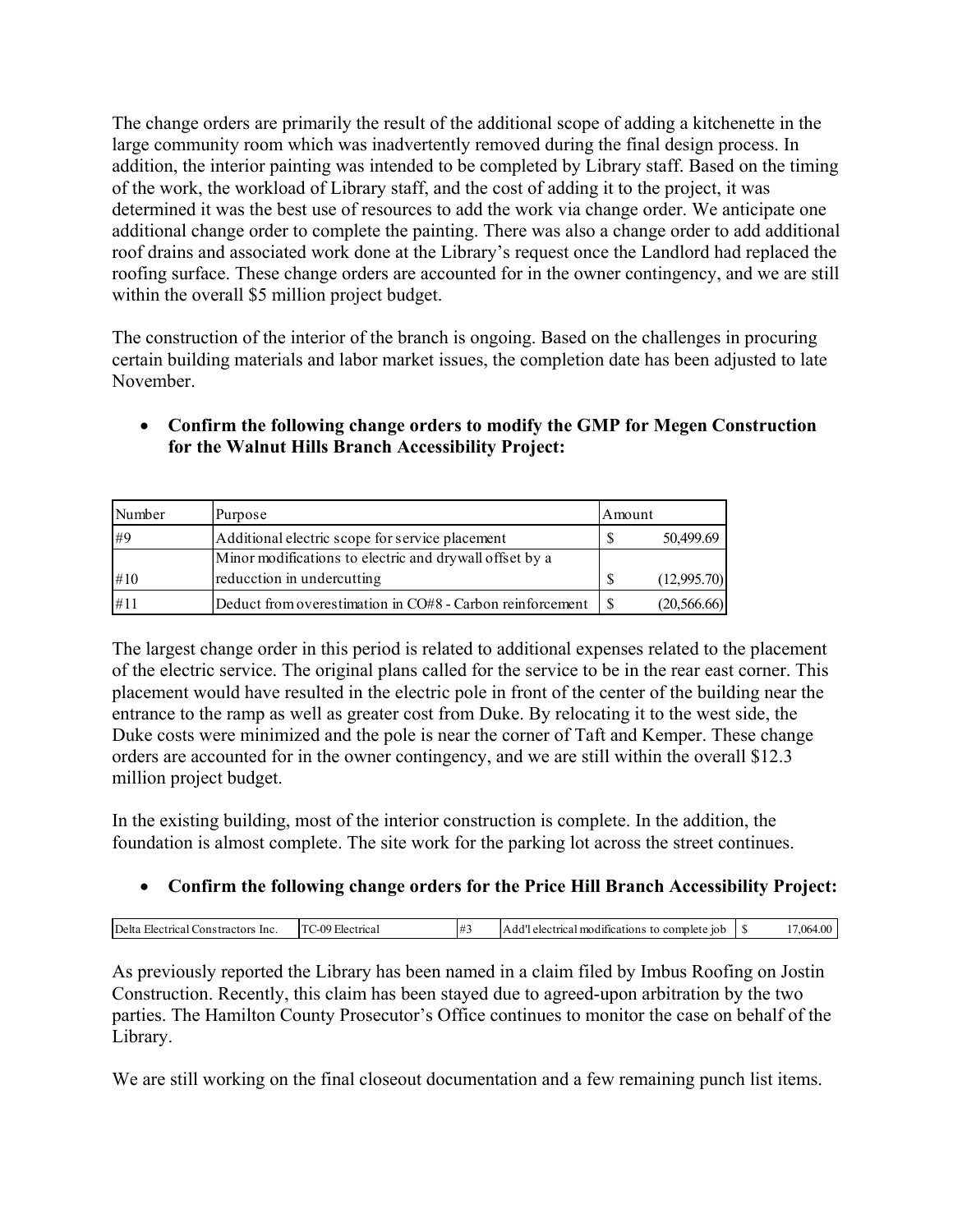The change orders are primarily the result of the additional scope of adding a kitchenette in the large community room which was inadvertently removed during the final design process. In addition, the interior painting was intended to be completed by Library staff. Based on the timing of the work, the workload of Library staff, and the cost of adding it to the project, it was determined it was the best use of resources to add the work via change order. We anticipate one additional change order to complete the painting. There was also a change order to add additional roof drains and associated work done at the Library's request once the Landlord had replaced the roofing surface. These change orders are accounted for in the owner contingency, and we are still within the overall \$5 million project budget.

The construction of the interior of the branch is ongoing. Based on the challenges in procuring certain building materials and labor market issues, the completion date has been adjusted to late November.

| Number | Purpose                                                   | Amount |              |
|--------|-----------------------------------------------------------|--------|--------------|
| #9     | Additional electric scope for service placement           |        | 50,499.69    |
|        | Minor modifications to electric and drywall offset by a   |        |              |
| #10    | reducction in undercutting                                |        | (12,995.70)  |
| #11    | Deduct from overestimation in CO#8 - Carbon reinforcement |        | (20, 566.66) |

# **Confirm the following change orders to modify the GMP for Megen Construction for the Walnut Hills Branch Accessibility Project:**

The largest change order in this period is related to additional expenses related to the placement of the electric service. The original plans called for the service to be in the rear east corner. This placement would have resulted in the electric pole in front of the center of the building near the entrance to the ramp as well as greater cost from Duke. By relocating it to the west side, the Duke costs were minimized and the pole is near the corner of Taft and Kemper. These change orders are accounted for in the owner contingency, and we are still within the overall \$12.3 million project budget.

In the existing building, most of the interior construction is complete. In the addition, the foundation is almost complete. The site work for the parking lot across the street continues.

# **Confirm the following change orders for the Price Hill Branch Accessibility Project:**

| 111<br>-00<br><b>Inc</b><br>10h<br><b>TOPS</b><br>-lectrica<br>. A dr<br>ำท⊾<br>-100<br>elec.<br>''rıca ı<br>mple:<br>cac<br>١n<br>Ί<br>лэг<br>.77<br>л. а |              |  |  |     |
|------------------------------------------------------------------------------------------------------------------------------------------------------------|--------------|--|--|-----|
|                                                                                                                                                            | <b>Delta</b> |  |  | 116 |

As previously reported the Library has been named in a claim filed by Imbus Roofing on Jostin Construction. Recently, this claim has been stayed due to agreed-upon arbitration by the two parties. The Hamilton County Prosecutor's Office continues to monitor the case on behalf of the Library.

We are still working on the final closeout documentation and a few remaining punch list items.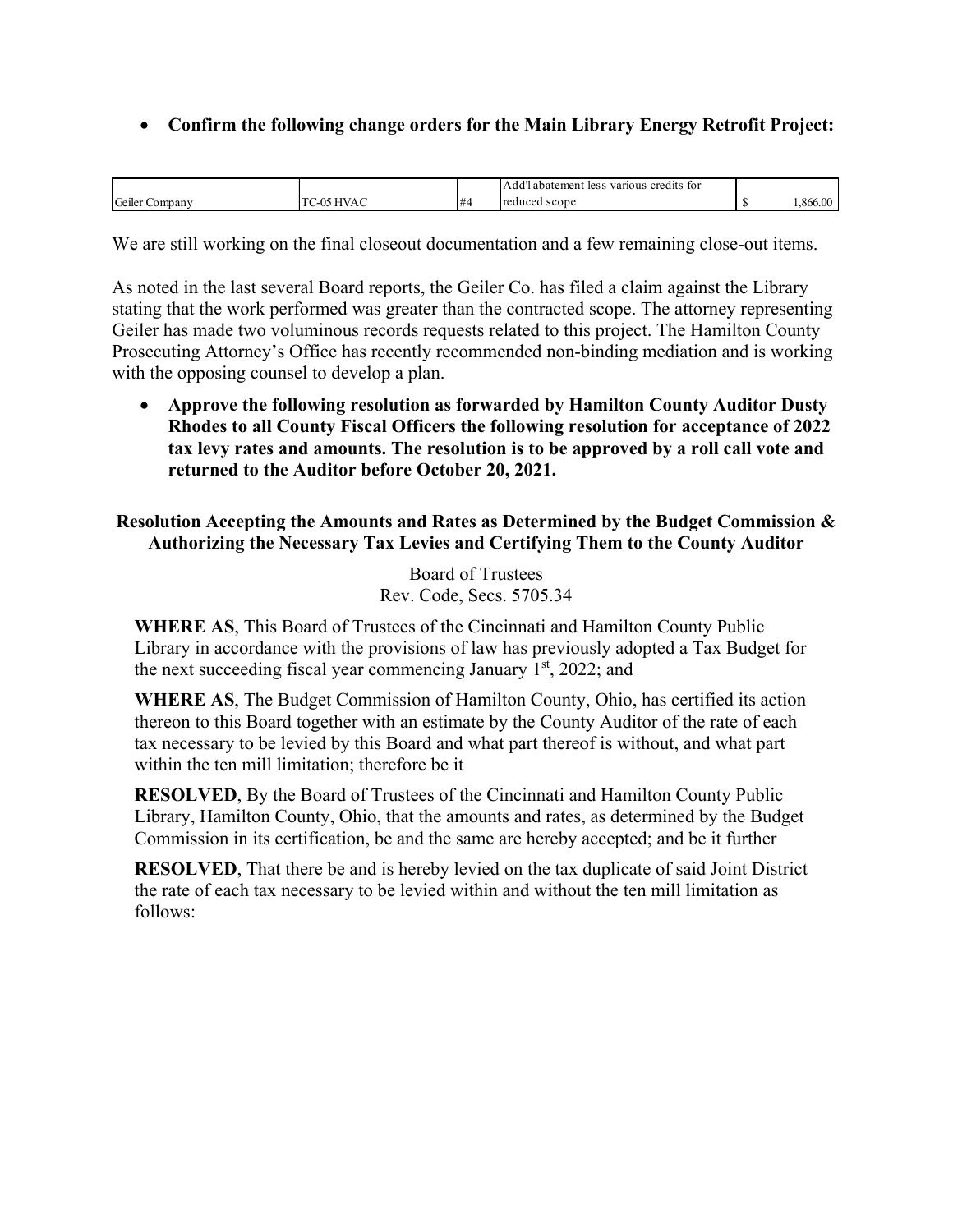# **Confirm the following change orders for the Main Library Energy Retrofit Project:**

|                   |      |    | 1.1<br>credits<br>abatemen<br>TO1<br>various<br>les s<br>$\mathbf{A}$ |        |
|-------------------|------|----|-----------------------------------------------------------------------|--------|
| Geiler<br>Company | - 14 | ،# | <b>Treduced</b><br>scope                                              | 1866.0 |

We are still working on the final closeout documentation and a few remaining close-out items.

As noted in the last several Board reports, the Geiler Co. has filed a claim against the Library stating that the work performed was greater than the contracted scope. The attorney representing Geiler has made two voluminous records requests related to this project. The Hamilton County Prosecuting Attorney's Office has recently recommended non-binding mediation and is working with the opposing counsel to develop a plan.

 **Approve the following resolution as forwarded by Hamilton County Auditor Dusty Rhodes to all County Fiscal Officers the following resolution for acceptance of 2022 tax levy rates and amounts. The resolution is to be approved by a roll call vote and returned to the Auditor before October 20, 2021.** 

**Resolution Accepting the Amounts and Rates as Determined by the Budget Commission & Authorizing the Necessary Tax Levies and Certifying Them to the County Auditor** 

> Board of Trustees Rev. Code, Secs. 5705.34

**WHERE AS**, This Board of Trustees of the Cincinnati and Hamilton County Public Library in accordance with the provisions of law has previously adopted a Tax Budget for the next succeeding fiscal year commencing January  $1<sup>st</sup>$ , 2022; and

**WHERE AS**, The Budget Commission of Hamilton County, Ohio, has certified its action thereon to this Board together with an estimate by the County Auditor of the rate of each tax necessary to be levied by this Board and what part thereof is without, and what part within the ten mill limitation; therefore be it

**RESOLVED**, By the Board of Trustees of the Cincinnati and Hamilton County Public Library, Hamilton County, Ohio, that the amounts and rates, as determined by the Budget Commission in its certification, be and the same are hereby accepted; and be it further

**RESOLVED**, That there be and is hereby levied on the tax duplicate of said Joint District the rate of each tax necessary to be levied within and without the ten mill limitation as follows: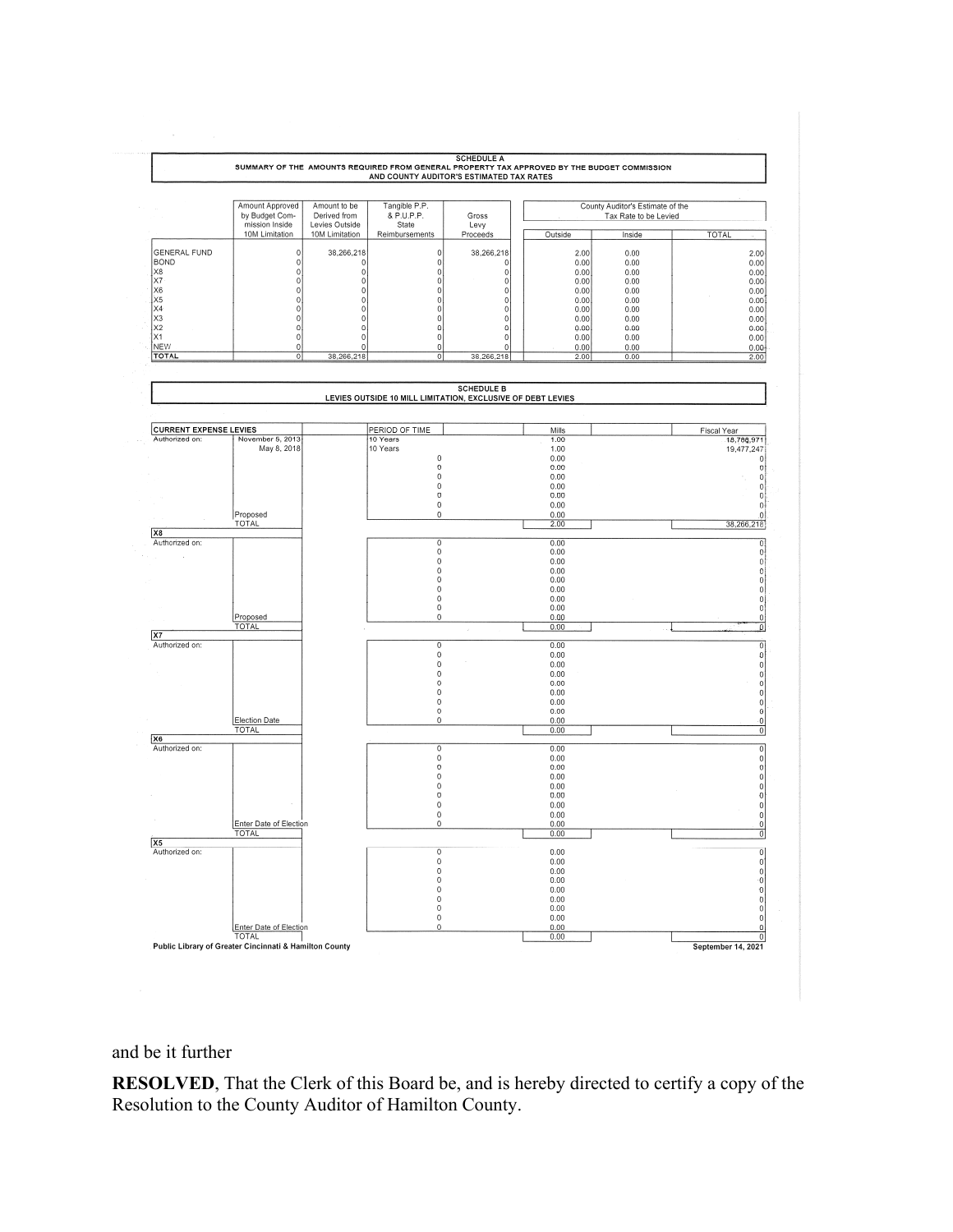

#### and be it further

**RESOLVED**, That the Clerk of this Board be, and is hereby directed to certify a copy of the Resolution to the County Auditor of Hamilton County.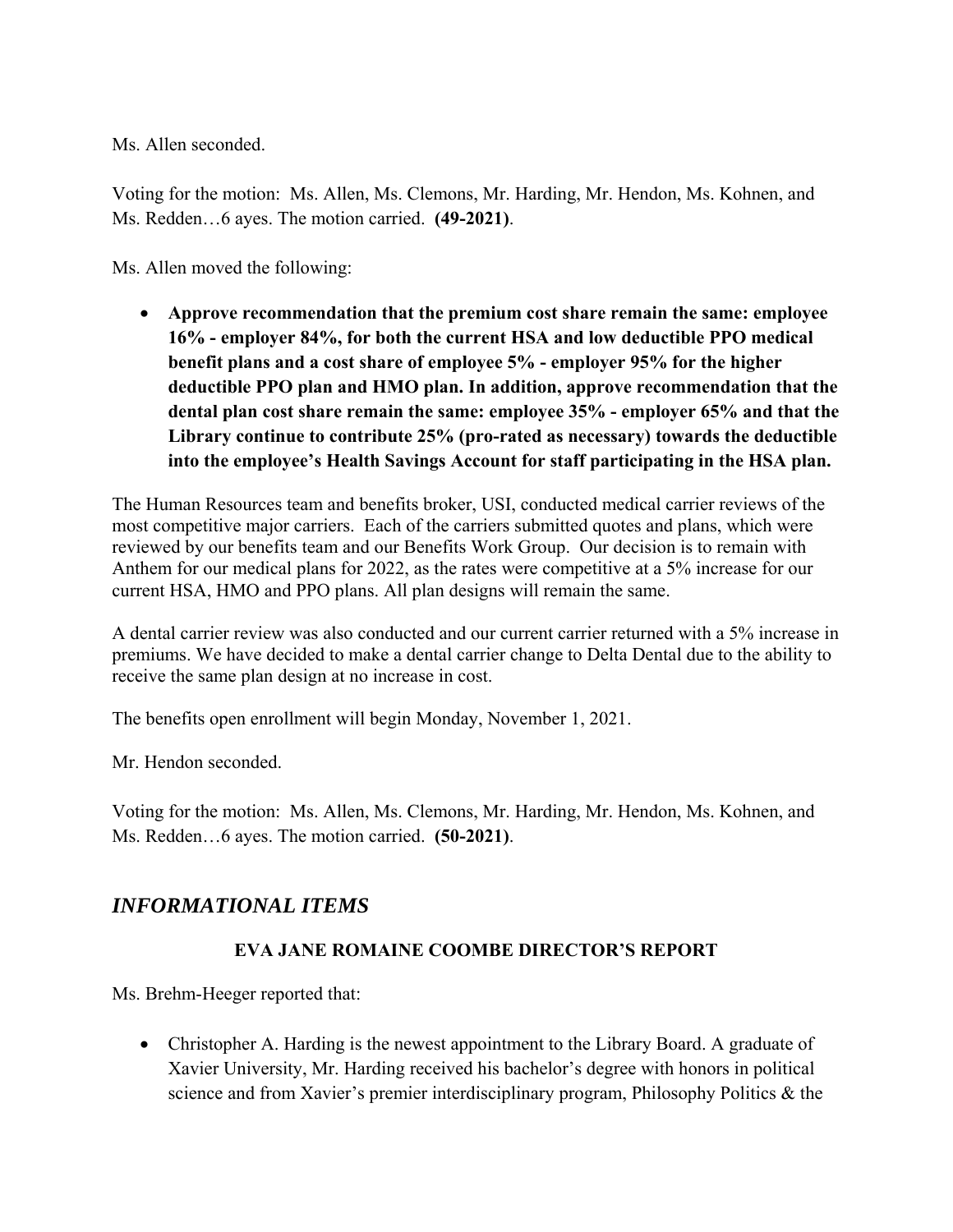Ms. Allen seconded.

Voting for the motion: Ms. Allen, Ms. Clemons, Mr. Harding, Mr. Hendon, Ms. Kohnen, and Ms. Redden…6 ayes. The motion carried. **(49-2021)**.

Ms. Allen moved the following:

 **Approve recommendation that the premium cost share remain the same: employee 16% - employer 84%, for both the current HSA and low deductible PPO medical benefit plans and a cost share of employee 5% - employer 95% for the higher deductible PPO plan and HMO plan. In addition, approve recommendation that the dental plan cost share remain the same: employee 35% - employer 65% and that the Library continue to contribute 25% (pro-rated as necessary) towards the deductible into the employee's Health Savings Account for staff participating in the HSA plan.**

The Human Resources team and benefits broker, USI, conducted medical carrier reviews of the most competitive major carriers. Each of the carriers submitted quotes and plans, which were reviewed by our benefits team and our Benefits Work Group. Our decision is to remain with Anthem for our medical plans for 2022, as the rates were competitive at a 5% increase for our current HSA, HMO and PPO plans. All plan designs will remain the same.

A dental carrier review was also conducted and our current carrier returned with a 5% increase in premiums. We have decided to make a dental carrier change to Delta Dental due to the ability to receive the same plan design at no increase in cost.

The benefits open enrollment will begin Monday, November 1, 2021.

Mr. Hendon seconded.

Voting for the motion: Ms. Allen, Ms. Clemons, Mr. Harding, Mr. Hendon, Ms. Kohnen, and Ms. Redden…6 ayes. The motion carried. **(50-2021)**.

# *INFORMATIONAL ITEMS*

# **EVA JANE ROMAINE COOMBE DIRECTOR'S REPORT**

Ms. Brehm-Heeger reported that:

• Christopher A. Harding is the newest appointment to the Library Board. A graduate of Xavier University, Mr. Harding received his bachelor's degree with honors in political science and from Xavier's premier interdisciplinary program, Philosophy Politics & the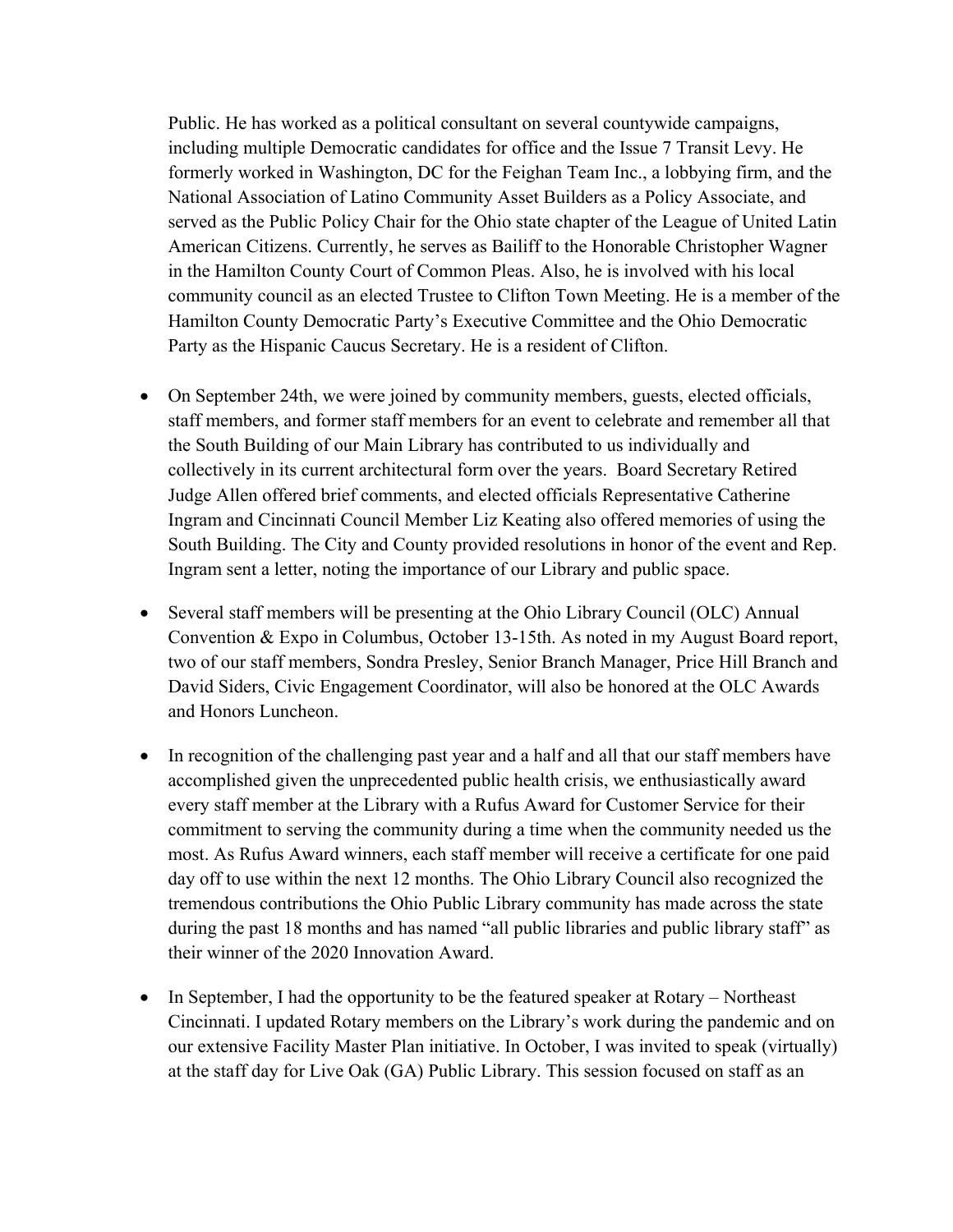Public. He has worked as a political consultant on several countywide campaigns, including multiple Democratic candidates for office and the Issue 7 Transit Levy. He formerly worked in Washington, DC for the Feighan Team Inc., a lobbying firm, and the National Association of Latino Community Asset Builders as a Policy Associate, and served as the Public Policy Chair for the Ohio state chapter of the League of United Latin American Citizens. Currently, he serves as Bailiff to the Honorable Christopher Wagner in the Hamilton County Court of Common Pleas. Also, he is involved with his local community council as an elected Trustee to Clifton Town Meeting. He is a member of the Hamilton County Democratic Party's Executive Committee and the Ohio Democratic Party as the Hispanic Caucus Secretary. He is a resident of Clifton.

- On September 24th, we were joined by community members, guests, elected officials, staff members, and former staff members for an event to celebrate and remember all that the South Building of our Main Library has contributed to us individually and collectively in its current architectural form over the years. Board Secretary Retired Judge Allen offered brief comments, and elected officials Representative Catherine Ingram and Cincinnati Council Member Liz Keating also offered memories of using the South Building. The City and County provided resolutions in honor of the event and Rep. Ingram sent a letter, noting the importance of our Library and public space.
- Several staff members will be presenting at the Ohio Library Council (OLC) Annual Convention & Expo in Columbus, October 13-15th. As noted in my August Board report, two of our staff members, Sondra Presley, Senior Branch Manager, Price Hill Branch and David Siders, Civic Engagement Coordinator, will also be honored at the OLC Awards and Honors Luncheon.
- In recognition of the challenging past year and a half and all that our staff members have accomplished given the unprecedented public health crisis, we enthusiastically award every staff member at the Library with a Rufus Award for Customer Service for their commitment to serving the community during a time when the community needed us the most. As Rufus Award winners, each staff member will receive a certificate for one paid day off to use within the next 12 months. The Ohio Library Council also recognized the tremendous contributions the Ohio Public Library community has made across the state during the past 18 months and has named "all public libraries and public library staff" as their winner of the 2020 Innovation Award.
- In September, I had the opportunity to be the featured speaker at Rotary Northeast Cincinnati. I updated Rotary members on the Library's work during the pandemic and on our extensive Facility Master Plan initiative. In October, I was invited to speak (virtually) at the staff day for Live Oak (GA) Public Library. This session focused on staff as an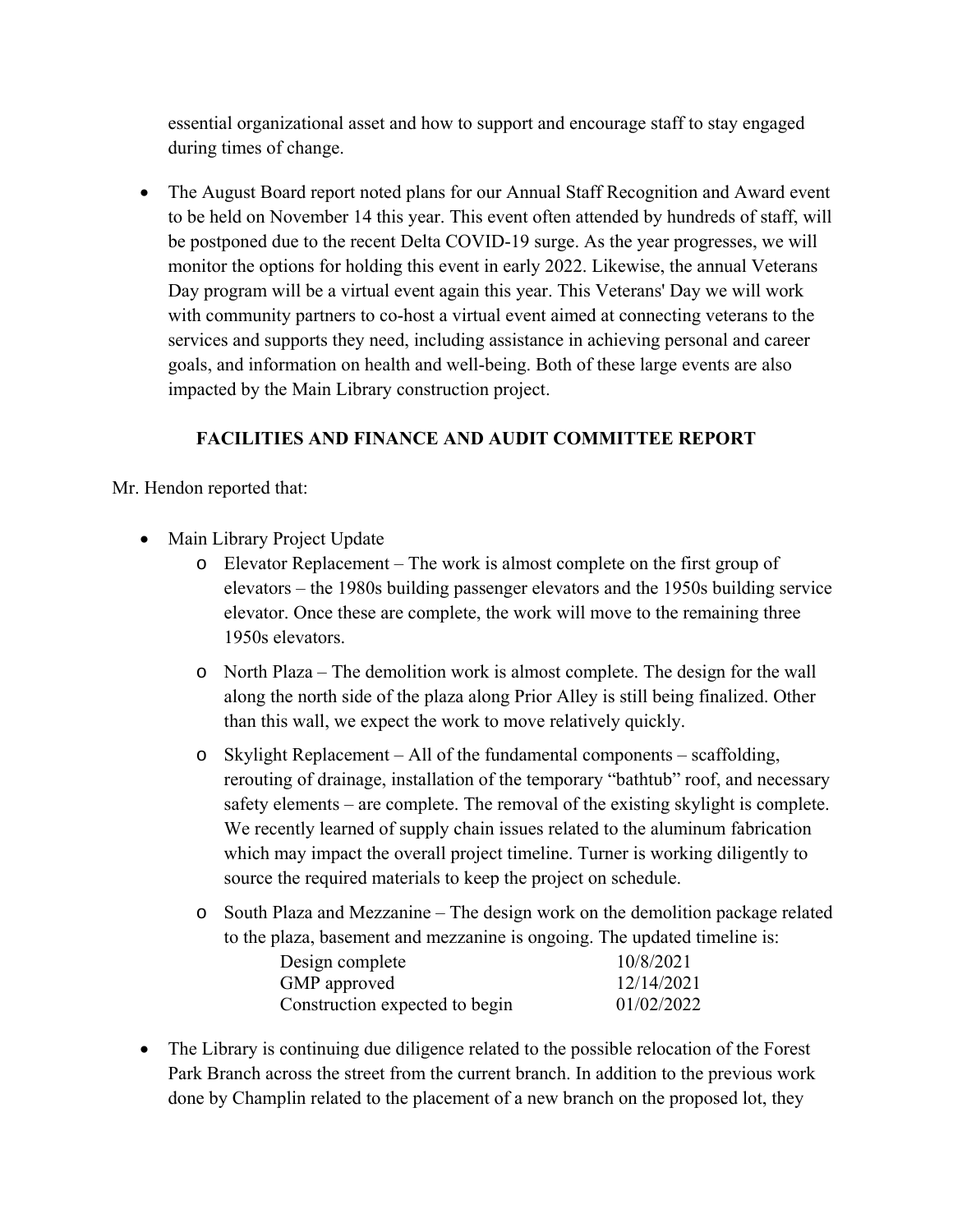essential organizational asset and how to support and encourage staff to stay engaged during times of change.

 The August Board report noted plans for our Annual Staff Recognition and Award event to be held on November 14 this year. This event often attended by hundreds of staff, will be postponed due to the recent Delta COVID-19 surge. As the year progresses, we will monitor the options for holding this event in early 2022. Likewise, the annual Veterans Day program will be a virtual event again this year. This Veterans' Day we will work with community partners to co-host a virtual event aimed at connecting veterans to the services and supports they need, including assistance in achieving personal and career goals, and information on health and well-being. Both of these large events are also impacted by the Main Library construction project.

# **FACILITIES AND FINANCE AND AUDIT COMMITTEE REPORT**

Mr. Hendon reported that:

- Main Library Project Update
	- o Elevator Replacement The work is almost complete on the first group of elevators – the 1980s building passenger elevators and the 1950s building service elevator. Once these are complete, the work will move to the remaining three 1950s elevators.
	- o North Plaza The demolition work is almost complete. The design for the wall along the north side of the plaza along Prior Alley is still being finalized. Other than this wall, we expect the work to move relatively quickly.
	- o Skylight Replacement All of the fundamental components scaffolding, rerouting of drainage, installation of the temporary "bathtub" roof, and necessary safety elements – are complete. The removal of the existing skylight is complete. We recently learned of supply chain issues related to the aluminum fabrication which may impact the overall project timeline. Turner is working diligently to source the required materials to keep the project on schedule.
	- o South Plaza and Mezzanine The design work on the demolition package related to the plaza, basement and mezzanine is ongoing. The updated timeline is:

| 10/8/2021<br>Design complete                 |  |
|----------------------------------------------|--|
| 12/14/2021<br>GMP approved                   |  |
| 01/02/2022<br>Construction expected to begin |  |

• The Library is continuing due diligence related to the possible relocation of the Forest Park Branch across the street from the current branch. In addition to the previous work done by Champlin related to the placement of a new branch on the proposed lot, they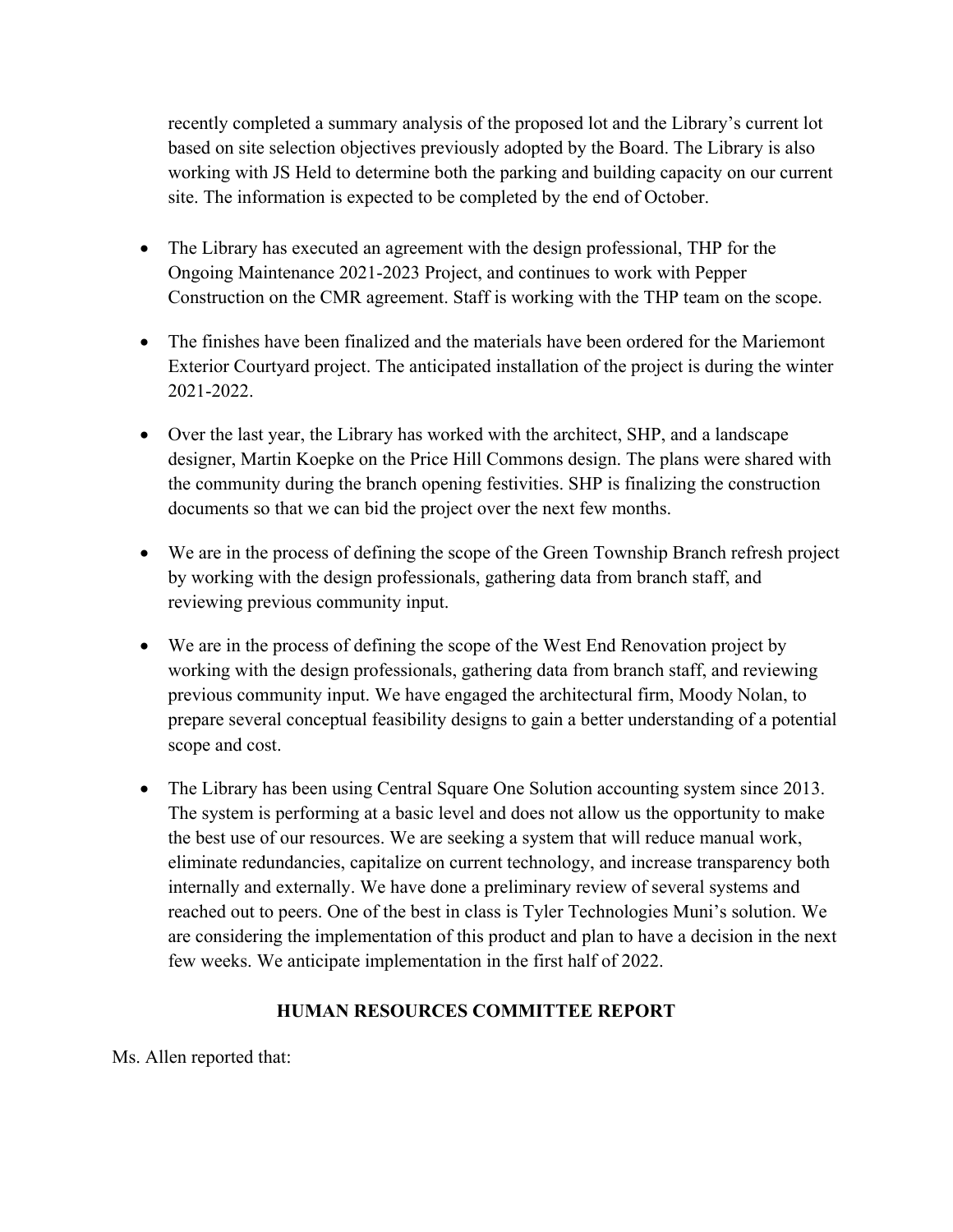recently completed a summary analysis of the proposed lot and the Library's current lot based on site selection objectives previously adopted by the Board. The Library is also working with JS Held to determine both the parking and building capacity on our current site. The information is expected to be completed by the end of October.

- The Library has executed an agreement with the design professional, THP for the Ongoing Maintenance 2021-2023 Project, and continues to work with Pepper Construction on the CMR agreement. Staff is working with the THP team on the scope.
- The finishes have been finalized and the materials have been ordered for the Mariemont Exterior Courtyard project. The anticipated installation of the project is during the winter 2021-2022.
- Over the last year, the Library has worked with the architect, SHP, and a landscape designer, Martin Koepke on the Price Hill Commons design. The plans were shared with the community during the branch opening festivities. SHP is finalizing the construction documents so that we can bid the project over the next few months.
- We are in the process of defining the scope of the Green Township Branch refresh project by working with the design professionals, gathering data from branch staff, and reviewing previous community input.
- We are in the process of defining the scope of the West End Renovation project by working with the design professionals, gathering data from branch staff, and reviewing previous community input. We have engaged the architectural firm, Moody Nolan, to prepare several conceptual feasibility designs to gain a better understanding of a potential scope and cost.
- The Library has been using Central Square One Solution accounting system since 2013. The system is performing at a basic level and does not allow us the opportunity to make the best use of our resources. We are seeking a system that will reduce manual work, eliminate redundancies, capitalize on current technology, and increase transparency both internally and externally. We have done a preliminary review of several systems and reached out to peers. One of the best in class is Tyler Technologies Muni's solution. We are considering the implementation of this product and plan to have a decision in the next few weeks. We anticipate implementation in the first half of 2022.

### **HUMAN RESOURCES COMMITTEE REPORT**

Ms. Allen reported that: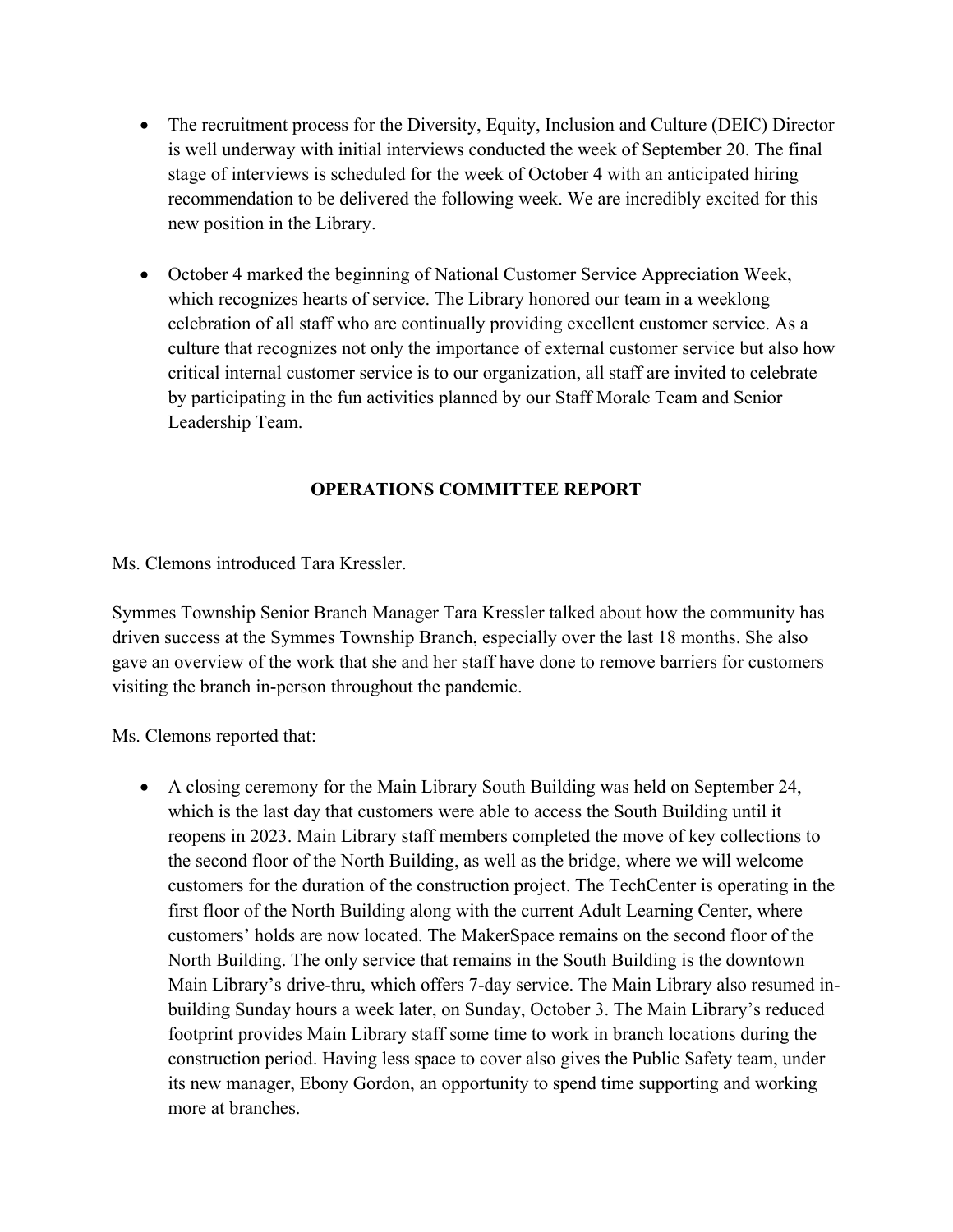- The recruitment process for the Diversity, Equity, Inclusion and Culture (DEIC) Director is well underway with initial interviews conducted the week of September 20. The final stage of interviews is scheduled for the week of October 4 with an anticipated hiring recommendation to be delivered the following week. We are incredibly excited for this new position in the Library.
- October 4 marked the beginning of National Customer Service Appreciation Week, which recognizes hearts of service. The Library honored our team in a weeklong celebration of all staff who are continually providing excellent customer service. As a culture that recognizes not only the importance of external customer service but also how critical internal customer service is to our organization, all staff are invited to celebrate by participating in the fun activities planned by our Staff Morale Team and Senior Leadership Team.

# **OPERATIONS COMMITTEE REPORT**

Ms. Clemons introduced Tara Kressler.

Symmes Township Senior Branch Manager Tara Kressler talked about how the community has driven success at the Symmes Township Branch, especially over the last 18 months. She also gave an overview of the work that she and her staff have done to remove barriers for customers visiting the branch in-person throughout the pandemic.

Ms. Clemons reported that:

 A closing ceremony for the Main Library South Building was held on September 24, which is the last day that customers were able to access the South Building until it reopens in 2023. Main Library staff members completed the move of key collections to the second floor of the North Building, as well as the bridge, where we will welcome customers for the duration of the construction project. The TechCenter is operating in the first floor of the North Building along with the current Adult Learning Center, where customers' holds are now located. The MakerSpace remains on the second floor of the North Building. The only service that remains in the South Building is the downtown Main Library's drive-thru, which offers 7-day service. The Main Library also resumed inbuilding Sunday hours a week later, on Sunday, October 3. The Main Library's reduced footprint provides Main Library staff some time to work in branch locations during the construction period. Having less space to cover also gives the Public Safety team, under its new manager, Ebony Gordon, an opportunity to spend time supporting and working more at branches.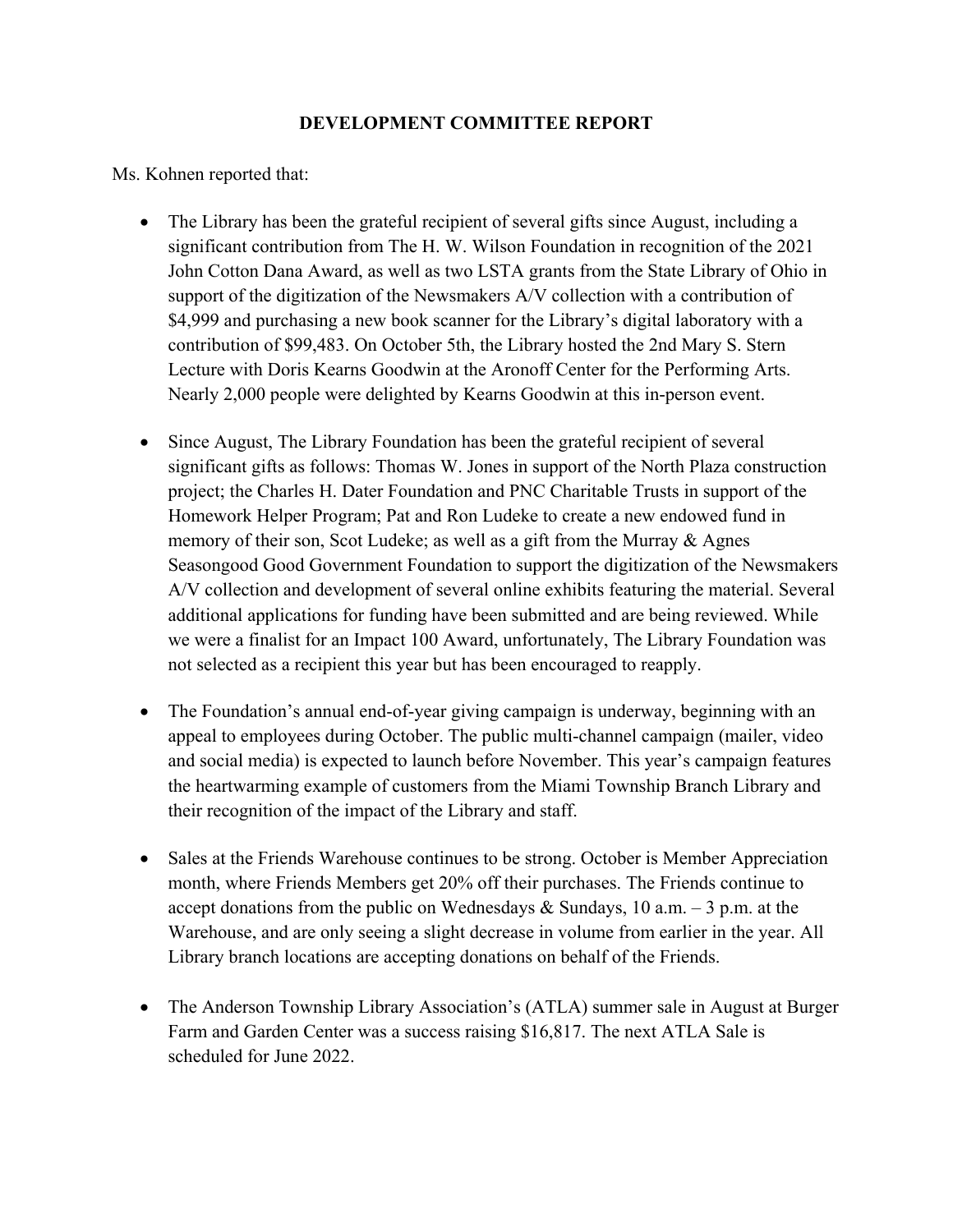#### **DEVELOPMENT COMMITTEE REPORT**

Ms. Kohnen reported that:

- The Library has been the grateful recipient of several gifts since August, including a significant contribution from The H. W. Wilson Foundation in recognition of the 2021 John Cotton Dana Award, as well as two LSTA grants from the State Library of Ohio in support of the digitization of the Newsmakers A/V collection with a contribution of \$4,999 and purchasing a new book scanner for the Library's digital laboratory with a contribution of \$99,483. On October 5th, the Library hosted the 2nd Mary S. Stern Lecture with Doris Kearns Goodwin at the Aronoff Center for the Performing Arts. Nearly 2,000 people were delighted by Kearns Goodwin at this in-person event.
- Since August, The Library Foundation has been the grateful recipient of several significant gifts as follows: Thomas W. Jones in support of the North Plaza construction project; the Charles H. Dater Foundation and PNC Charitable Trusts in support of the Homework Helper Program; Pat and Ron Ludeke to create a new endowed fund in memory of their son, Scot Ludeke; as well as a gift from the Murray & Agnes Seasongood Good Government Foundation to support the digitization of the Newsmakers A/V collection and development of several online exhibits featuring the material. Several additional applications for funding have been submitted and are being reviewed. While we were a finalist for an Impact 100 Award, unfortunately, The Library Foundation was not selected as a recipient this year but has been encouraged to reapply.
- The Foundation's annual end-of-year giving campaign is underway, beginning with an appeal to employees during October. The public multi-channel campaign (mailer, video and social media) is expected to launch before November. This year's campaign features the heartwarming example of customers from the Miami Township Branch Library and their recognition of the impact of the Library and staff.
- Sales at the Friends Warehouse continues to be strong. October is Member Appreciation month, where Friends Members get 20% off their purchases. The Friends continue to accept donations from the public on Wednesdays & Sundays, 10 a.m.  $-3$  p.m. at the Warehouse, and are only seeing a slight decrease in volume from earlier in the year. All Library branch locations are accepting donations on behalf of the Friends.
- The Anderson Township Library Association's (ATLA) summer sale in August at Burger Farm and Garden Center was a success raising \$16,817. The next ATLA Sale is scheduled for June 2022.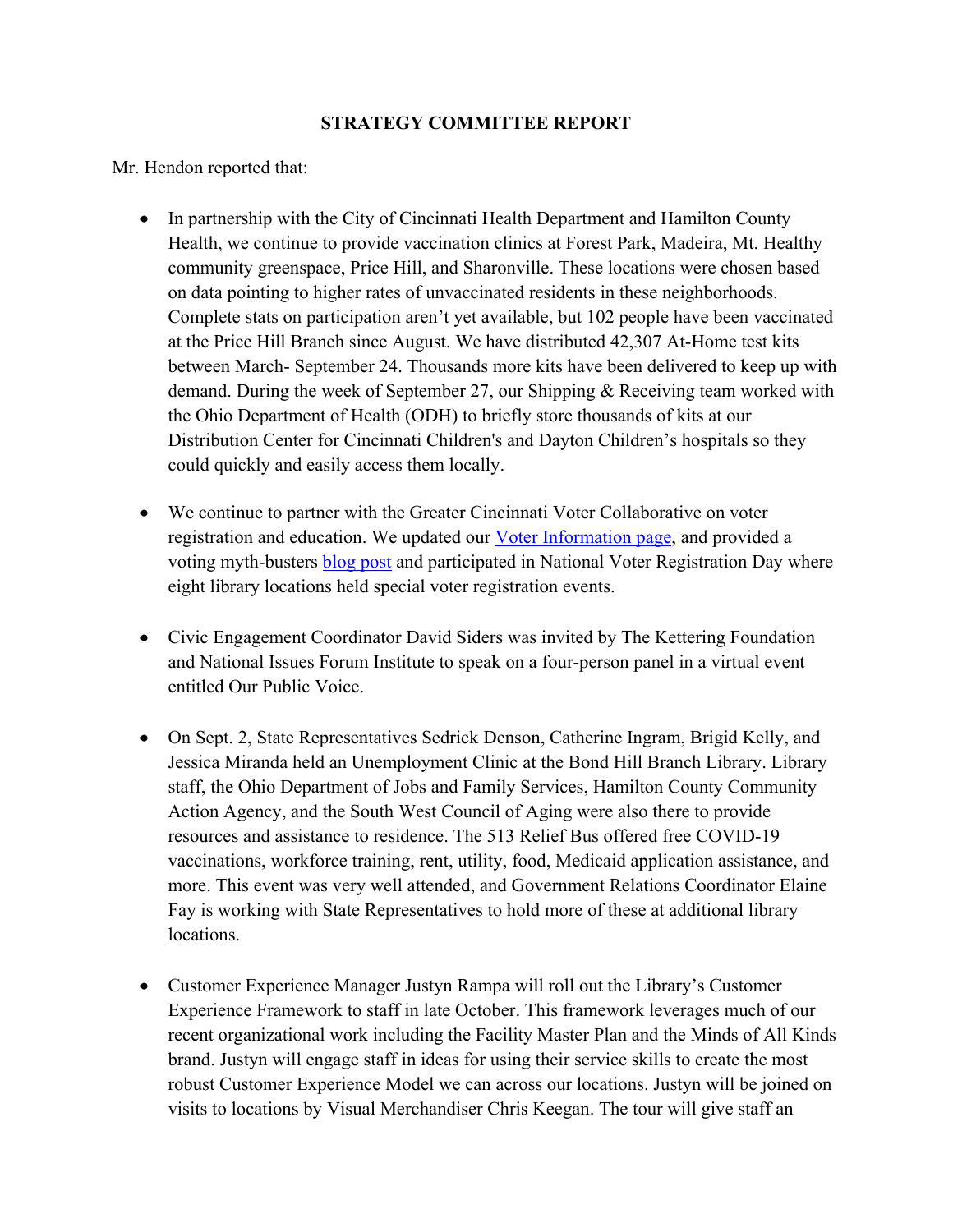#### **STRATEGY COMMITTEE REPORT**

Mr. Hendon reported that:

- In partnership with the City of Cincinnati Health Department and Hamilton County Health, we continue to provide vaccination clinics at Forest Park, Madeira, Mt. Healthy community greenspace, Price Hill, and Sharonville. These locations were chosen based on data pointing to higher rates of unvaccinated residents in these neighborhoods. Complete stats on participation aren't yet available, but 102 people have been vaccinated at the Price Hill Branch since August. We have distributed 42,307 At-Home test kits between March- September 24. Thousands more kits have been delivered to keep up with demand. During the week of September 27, our Shipping & Receiving team worked with the Ohio Department of Health (ODH) to briefly store thousands of kits at our Distribution Center for Cincinnati Children's and Dayton Children's hospitals so they could quickly and easily access them locally.
- We continue to partner with the Greater Cincinnati Voter Collaborative on voter registration and education. We updated our **Voter Information page**, and provided a voting myth-busters **blog post** and participated in National Voter Registration Day where eight library locations held special voter registration events.
- Civic Engagement Coordinator David Siders was invited by The Kettering Foundation and National Issues Forum Institute to speak on a four-person panel in a virtual event entitled Our Public Voice.
- On Sept. 2, State Representatives Sedrick Denson, Catherine Ingram, Brigid Kelly, and Jessica Miranda held an Unemployment Clinic at the Bond Hill Branch Library. Library staff, the Ohio Department of Jobs and Family Services, Hamilton County Community Action Agency, and the South West Council of Aging were also there to provide resources and assistance to residence. The 513 Relief Bus offered free COVID-19 vaccinations, workforce training, rent, utility, food, Medicaid application assistance, and more. This event was very well attended, and Government Relations Coordinator Elaine Fay is working with State Representatives to hold more of these at additional library locations.
- Customer Experience Manager Justyn Rampa will roll out the Library's Customer Experience Framework to staff in late October. This framework leverages much of our recent organizational work including the Facility Master Plan and the Minds of All Kinds brand. Justyn will engage staff in ideas for using their service skills to create the most robust Customer Experience Model we can across our locations. Justyn will be joined on visits to locations by Visual Merchandiser Chris Keegan. The tour will give staff an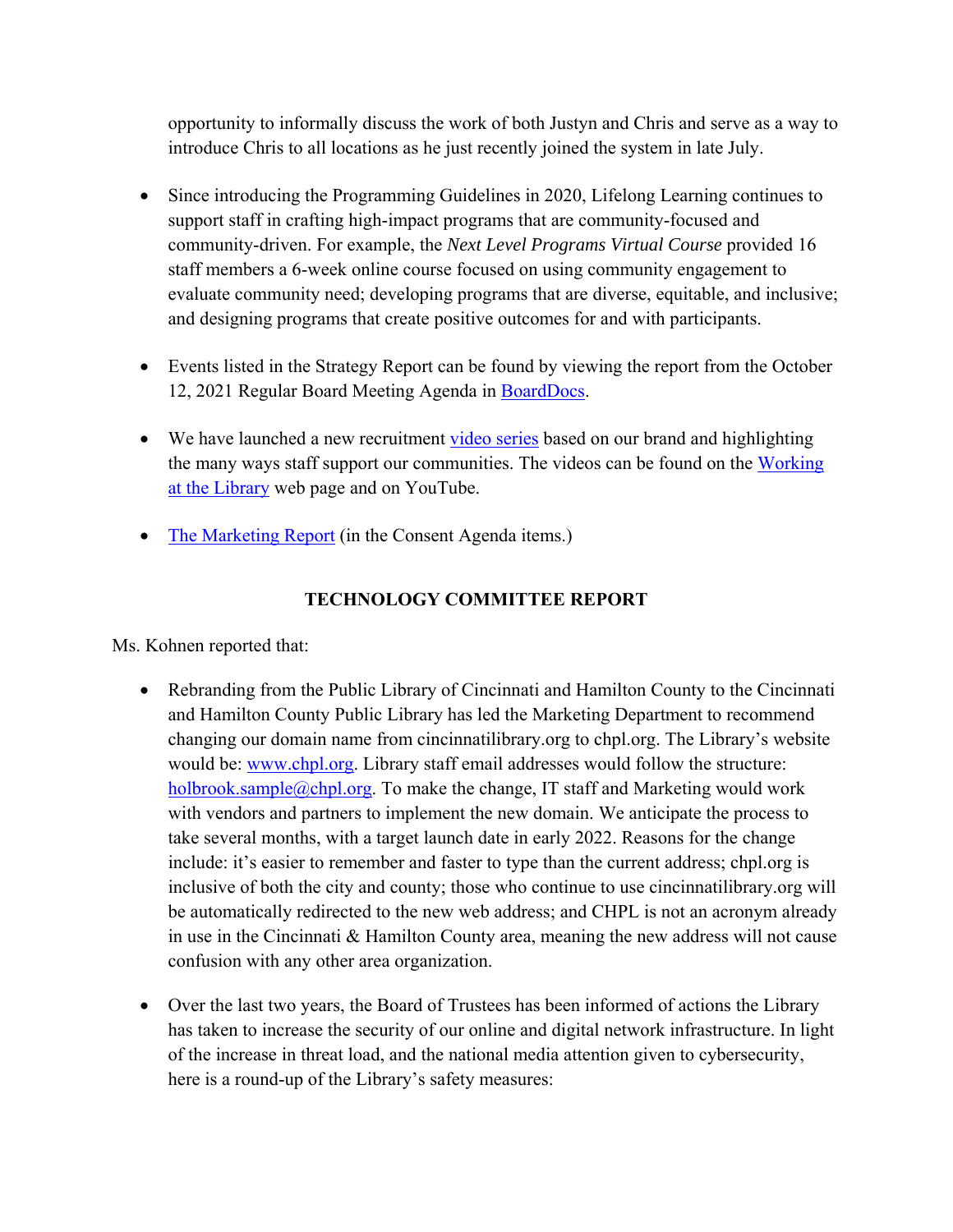opportunity to informally discuss the work of both Justyn and Chris and serve as a way to introduce Chris to all locations as he just recently joined the system in late July.

- Since introducing the Programming Guidelines in 2020, Lifelong Learning continues to support staff in crafting high-impact programs that are community-focused and community-driven. For example, the *Next Level Programs Virtual Course* provided 16 staff members a 6-week online course focused on using community engagement to evaluate community need; developing programs that are diverse, equitable, and inclusive; and designing programs that create positive outcomes for and with participants.
- Events listed in the Strategy Report can be found by viewing the report from the October 12, 2021 Regular Board Meeting Agenda in BoardDocs.
- We have launched a new recruitment video series based on our brand and highlighting the many ways staff support our communities. The videos can be found on the Working at the Library web page and on YouTube.
- The Marketing Report (in the Consent Agenda items.)

# **TECHNOLOGY COMMITTEE REPORT**

Ms. Kohnen reported that:

- Rebranding from the Public Library of Cincinnati and Hamilton County to the Cincinnati and Hamilton County Public Library has led the Marketing Department to recommend changing our domain name from cincinnatilibrary.org to chpl.org. The Library's website would be: www.chpl.org. Library staff email addresses would follow the structure: holbrook.sample@chpl.org. To make the change, IT staff and Marketing would work with vendors and partners to implement the new domain. We anticipate the process to take several months, with a target launch date in early 2022. Reasons for the change include: it's easier to remember and faster to type than the current address; chpl.org is inclusive of both the city and county; those who continue to use cincinnatilibrary.org will be automatically redirected to the new web address; and CHPL is not an acronym already in use in the Cincinnati & Hamilton County area, meaning the new address will not cause confusion with any other area organization.
- Over the last two years, the Board of Trustees has been informed of actions the Library has taken to increase the security of our online and digital network infrastructure. In light of the increase in threat load, and the national media attention given to cybersecurity, here is a round-up of the Library's safety measures: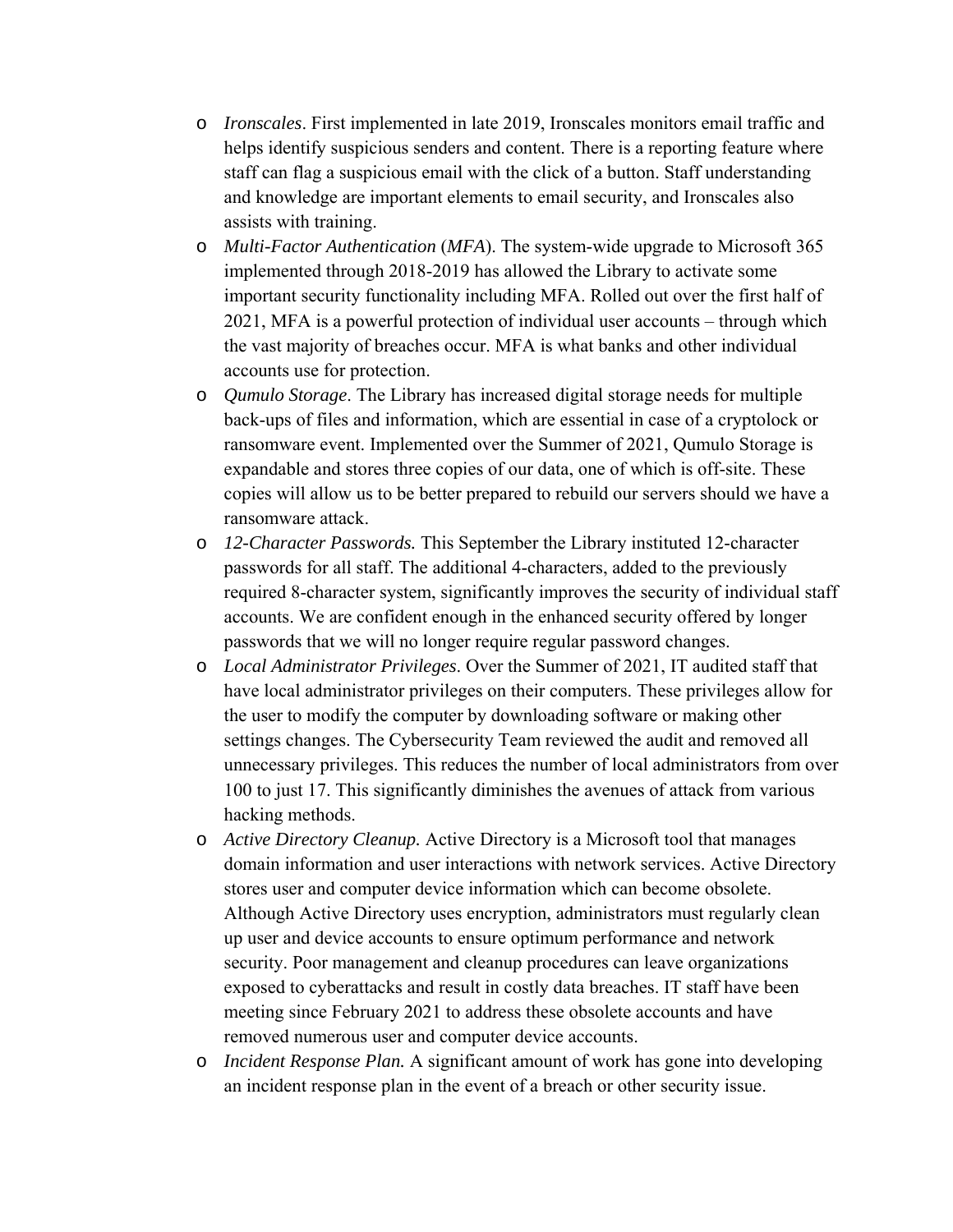- o *Ironscales*. First implemented in late 2019, Ironscales monitors email traffic and helps identify suspicious senders and content. There is a reporting feature where staff can flag a suspicious email with the click of a button. Staff understanding and knowledge are important elements to email security, and Ironscales also assists with training.
- o *Multi-Factor Authentication* (*MFA*). The system-wide upgrade to Microsoft 365 implemented through 2018-2019 has allowed the Library to activate some important security functionality including MFA. Rolled out over the first half of 2021, MFA is a powerful protection of individual user accounts – through which the vast majority of breaches occur. MFA is what banks and other individual accounts use for protection.
- o *Qumulo Storage*. The Library has increased digital storage needs for multiple back-ups of files and information, which are essential in case of a cryptolock or ransomware event. Implemented over the Summer of 2021, Qumulo Storage is expandable and stores three copies of our data, one of which is off-site. These copies will allow us to be better prepared to rebuild our servers should we have a ransomware attack.
- o *12-Character Passwords.* This September the Library instituted 12-character passwords for all staff. The additional 4-characters, added to the previously required 8-character system, significantly improves the security of individual staff accounts. We are confident enough in the enhanced security offered by longer passwords that we will no longer require regular password changes.
- o *Local Administrator Privileges*. Over the Summer of 2021, IT audited staff that have local administrator privileges on their computers. These privileges allow for the user to modify the computer by downloading software or making other settings changes. The Cybersecurity Team reviewed the audit and removed all unnecessary privileges. This reduces the number of local administrators from over 100 to just 17. This significantly diminishes the avenues of attack from various hacking methods.
- o *Active Directory Cleanup.* Active Directory is a Microsoft tool that manages domain information and user interactions with network services. Active Directory stores user and computer device information which can become obsolete. Although Active Directory uses encryption, administrators must regularly clean up user and device accounts to ensure optimum performance and network security. Poor management and cleanup procedures can leave organizations exposed to cyberattacks and result in costly data breaches. IT staff have been meeting since February 2021 to address these obsolete accounts and have removed numerous user and computer device accounts.
- o *Incident Response Plan.* A significant amount of work has gone into developing an incident response plan in the event of a breach or other security issue.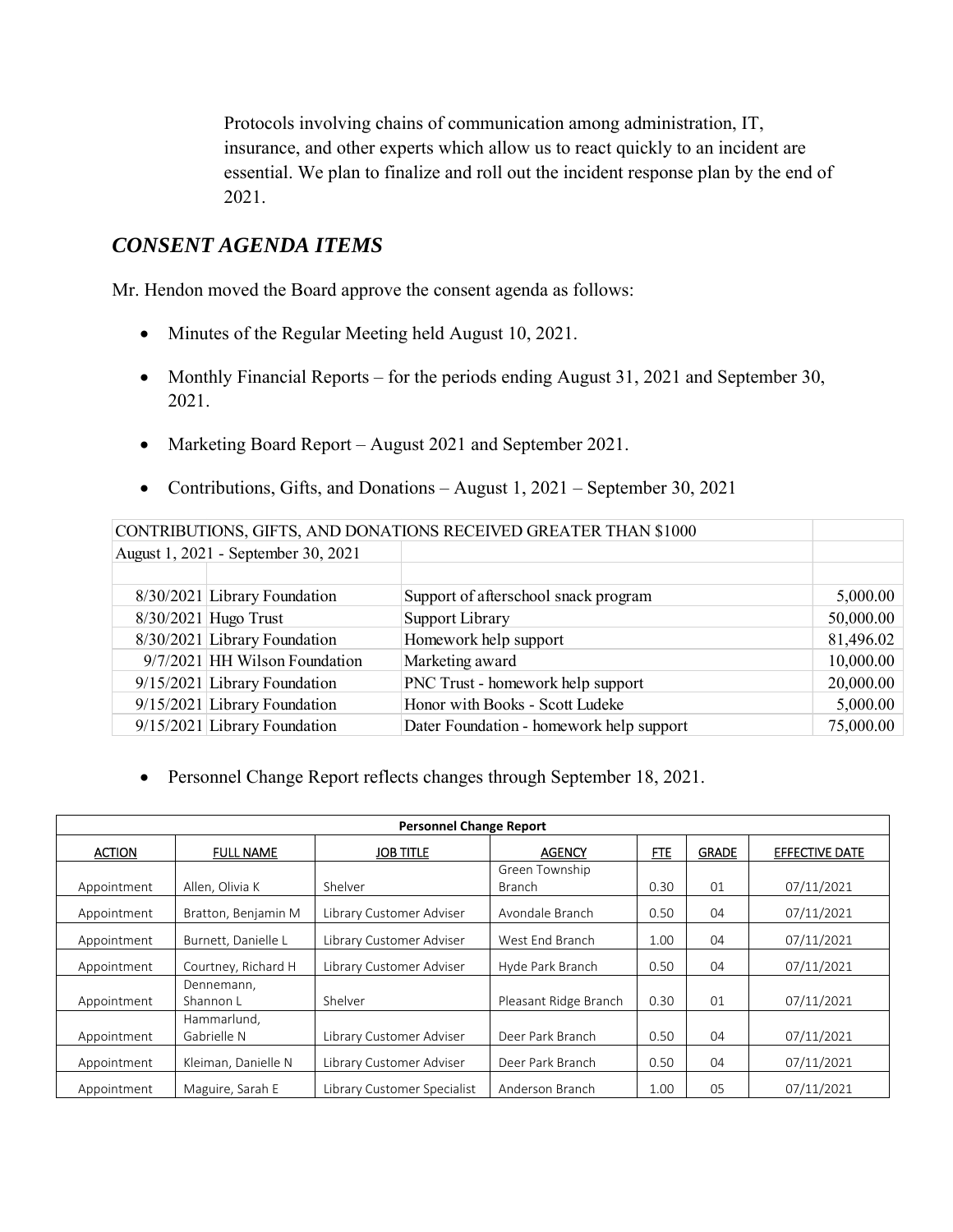Protocols involving chains of communication among administration, IT, insurance, and other experts which allow us to react quickly to an incident are essential. We plan to finalize and roll out the incident response plan by the end of 2021.

# *CONSENT AGENDA ITEMS*

Mr. Hendon moved the Board approve the consent agenda as follows:

- Minutes of the Regular Meeting held August 10, 2021.
- Monthly Financial Reports for the periods ending August 31, 2021 and September 30, 2021.
- Marketing Board Report August 2021 and September 2021.
- Contributions, Gifts, and Donations August 1, 2021 September 30, 2021

| CONTRIBUTIONS, GIFTS, AND DONATIONS RECEIVED GREATER THAN \$1000 |                                     |                                          |           |  |
|------------------------------------------------------------------|-------------------------------------|------------------------------------------|-----------|--|
|                                                                  | August 1, 2021 - September 30, 2021 |                                          |           |  |
|                                                                  |                                     |                                          |           |  |
|                                                                  | 8/30/2021 Library Foundation        | Support of afterschool snack program     | 5,000.00  |  |
|                                                                  | $8/30/2021$ Hugo Trust              | Support Library                          | 50,000.00 |  |
|                                                                  | 8/30/2021 Library Foundation        | Homework help support                    | 81,496.02 |  |
|                                                                  | 9/7/2021 HH Wilson Foundation       | Marketing award                          | 10,000.00 |  |
|                                                                  | 9/15/2021 Library Foundation        | PNC Trust - homework help support        | 20,000.00 |  |
|                                                                  | 9/15/2021 Library Foundation        | Honor with Books - Scott Ludeke          | 5,000.00  |  |
|                                                                  | 9/15/2021 Library Foundation        | Dater Foundation - homework help support | 75,000.00 |  |

Personnel Change Report reflects changes through September 18, 2021.

|               | <b>Personnel Change Report</b> |                             |                       |      |              |                |  |
|---------------|--------------------------------|-----------------------------|-----------------------|------|--------------|----------------|--|
| <b>ACTION</b> | <b>FULL NAME</b>               | <b>JOB TITLE</b>            | <b>AGENCY</b>         | FTE  | <b>GRADE</b> | EFFECTIVE DATE |  |
|               |                                |                             | Green Township        |      |              |                |  |
| Appointment   | Allen, Olivia K                | Shelver                     | Branch                | 0.30 | 01           | 07/11/2021     |  |
| Appointment   | Bratton, Benjamin M            | Library Customer Adviser    | Avondale Branch       | 0.50 | 04           | 07/11/2021     |  |
| Appointment   | Burnett, Danielle L            | Library Customer Adviser    | West End Branch       | 1.00 | 04           | 07/11/2021     |  |
| Appointment   | Courtney, Richard H            | Library Customer Adviser    | Hyde Park Branch      | 0.50 | 04           | 07/11/2021     |  |
|               | Dennemann,                     |                             |                       |      |              |                |  |
| Appointment   | Shannon L                      | Shelver                     | Pleasant Ridge Branch | 0.30 | 01           | 07/11/2021     |  |
|               | Hammarlund,                    |                             |                       |      |              |                |  |
| Appointment   | Gabrielle N                    | Library Customer Adviser    | Deer Park Branch      | 0.50 | 04           | 07/11/2021     |  |
| Appointment   | Kleiman, Danielle N            | Library Customer Adviser    | Deer Park Branch      | 0.50 | 04           | 07/11/2021     |  |
| Appointment   | Maguire, Sarah E               | Library Customer Specialist | Anderson Branch       | 1.00 | 05           | 07/11/2021     |  |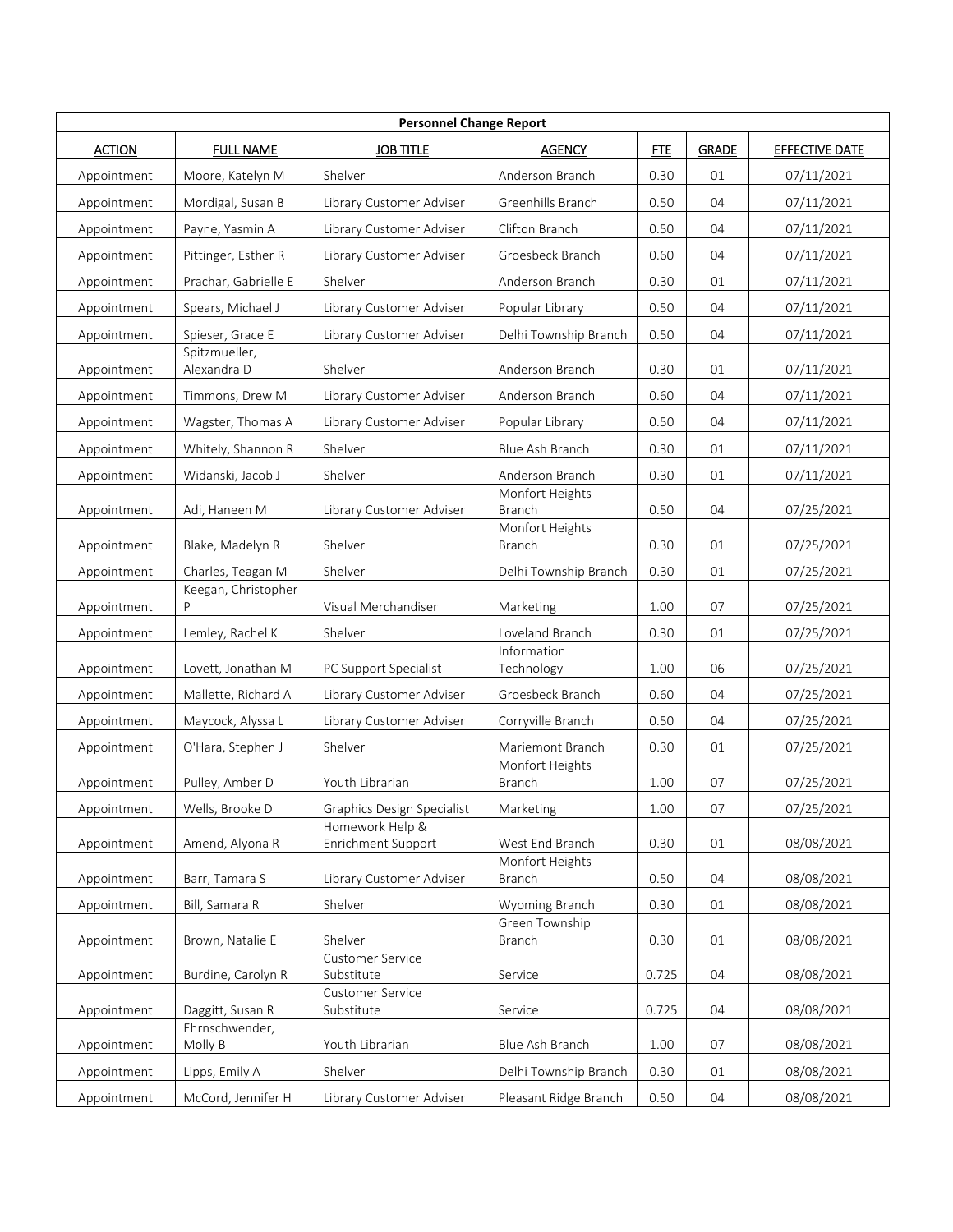| <b>Personnel Change Report</b> |                                          |                                               |                                  |            |              |                       |  |
|--------------------------------|------------------------------------------|-----------------------------------------------|----------------------------------|------------|--------------|-----------------------|--|
| <b>ACTION</b>                  | <b>FULL NAME</b>                         | <b>JOB TITLE</b>                              | <b>AGENCY</b>                    | <b>FTE</b> | <b>GRADE</b> | <b>EFFECTIVE DATE</b> |  |
| Appointment                    | Moore, Katelyn M                         | Shelver                                       | Anderson Branch                  | 0.30       | 01           | 07/11/2021            |  |
| Appointment                    | Mordigal, Susan B                        | Library Customer Adviser                      | Greenhills Branch                | 0.50       | 04           | 07/11/2021            |  |
| Appointment                    | Payne, Yasmin A                          | Library Customer Adviser                      | Clifton Branch                   | 0.50       | 04           | 07/11/2021            |  |
| Appointment                    | Pittinger, Esther R                      | Library Customer Adviser                      | Groesbeck Branch                 | 0.60       | 04           | 07/11/2021            |  |
| Appointment                    | Prachar, Gabrielle E                     | Shelver                                       | Anderson Branch                  | 0.30       | 01           | 07/11/2021            |  |
| Appointment                    | Spears, Michael J                        | Library Customer Adviser                      | Popular Library                  | 0.50       | 04           | 07/11/2021            |  |
| Appointment                    | Spieser, Grace E                         | Library Customer Adviser                      | Delhi Township Branch            | 0.50       | 04           | 07/11/2021            |  |
| Appointment                    | Spitzmueller,<br>Alexandra D             | Shelver                                       | Anderson Branch                  | 0.30       | 01           | 07/11/2021            |  |
| Appointment                    | Timmons, Drew M                          | Library Customer Adviser                      | Anderson Branch                  | 0.60       | 04           | 07/11/2021            |  |
| Appointment                    | Wagster, Thomas A                        | Library Customer Adviser                      | Popular Library                  | 0.50       | 04           | 07/11/2021            |  |
| Appointment                    | Whitely, Shannon R                       | Shelver                                       | Blue Ash Branch                  | 0.30       | 01           | 07/11/2021            |  |
| Appointment                    | Widanski, Jacob J                        | Shelver                                       | Anderson Branch                  | 0.30       | 01           | 07/11/2021            |  |
| Appointment                    | Adi, Haneen M                            | Library Customer Adviser                      | Monfort Heights<br><b>Branch</b> | 0.50       | 04           | 07/25/2021            |  |
|                                |                                          |                                               | Monfort Heights                  |            |              |                       |  |
| Appointment                    | Blake, Madelyn R                         | Shelver                                       | <b>Branch</b>                    | 0.30       | 01           | 07/25/2021            |  |
| Appointment                    | Charles, Teagan M<br>Keegan, Christopher | Shelver                                       | Delhi Township Branch            | 0.30       | 01           | 07/25/2021            |  |
| Appointment                    |                                          | Visual Merchandiser                           | Marketing                        | 1.00       | 07           | 07/25/2021            |  |
| Appointment                    | Lemley, Rachel K                         | Shelver                                       | Loveland Branch                  | 0.30       | 01           | 07/25/2021            |  |
| Appointment                    | Lovett, Jonathan M                       | PC Support Specialist                         | Information<br>Technology        | 1.00       | 06           | 07/25/2021            |  |
| Appointment                    | Mallette, Richard A                      | Library Customer Adviser                      | Groesbeck Branch                 | 0.60       | 04           | 07/25/2021            |  |
| Appointment                    | Maycock, Alyssa L                        | Library Customer Adviser                      | Corryville Branch                | 0.50       | 04           | 07/25/2021            |  |
| Appointment                    | O'Hara, Stephen J                        | Shelver                                       | Mariemont Branch                 | 0.30       | 01           | 07/25/2021            |  |
|                                |                                          |                                               | Monfort Heights                  |            | 07           |                       |  |
| Appointment                    | Pulley, Amber D                          | Youth Librarian                               | Branch                           | 1.00       |              | 07/25/2021            |  |
| Appointment                    | Wells, Brooke D                          | Graphics Design Specialist<br>Homework Help & | Marketing                        | $1.00\,$   | 07           | 07/25/2021            |  |
| Appointment                    | Amend, Alyona R                          | Enrichment Support                            | West End Branch                  | 0.30       | 01           | 08/08/2021            |  |
| Appointment                    | Barr, Tamara S                           | Library Customer Adviser                      | Monfort Heights<br><b>Branch</b> | 0.50       | 04           | 08/08/2021            |  |
| Appointment                    | Bill, Samara R                           | Shelver                                       | Wyoming Branch                   | 0.30       | 01           | 08/08/2021            |  |
| Appointment                    | Brown, Natalie E                         | Shelver                                       | Green Township<br>Branch         | 0.30       | 01           | 08/08/2021            |  |
| Appointment                    | Burdine, Carolyn R                       | <b>Customer Service</b><br>Substitute         | Service                          | 0.725      | 04           | 08/08/2021            |  |
| Appointment                    | Daggitt, Susan R                         | Customer Service<br>Substitute                | Service                          | 0.725      | 04           | 08/08/2021            |  |
| Appointment                    | Ehrnschwender,<br>Molly B                | Youth Librarian                               | Blue Ash Branch                  | 1.00       | 07           | 08/08/2021            |  |
| Appointment                    | Lipps, Emily A                           | Shelver                                       | Delhi Township Branch            | 0.30       | 01           | 08/08/2021            |  |
| Appointment                    | McCord, Jennifer H                       | Library Customer Adviser                      | Pleasant Ridge Branch            | 0.50       | 04           | 08/08/2021            |  |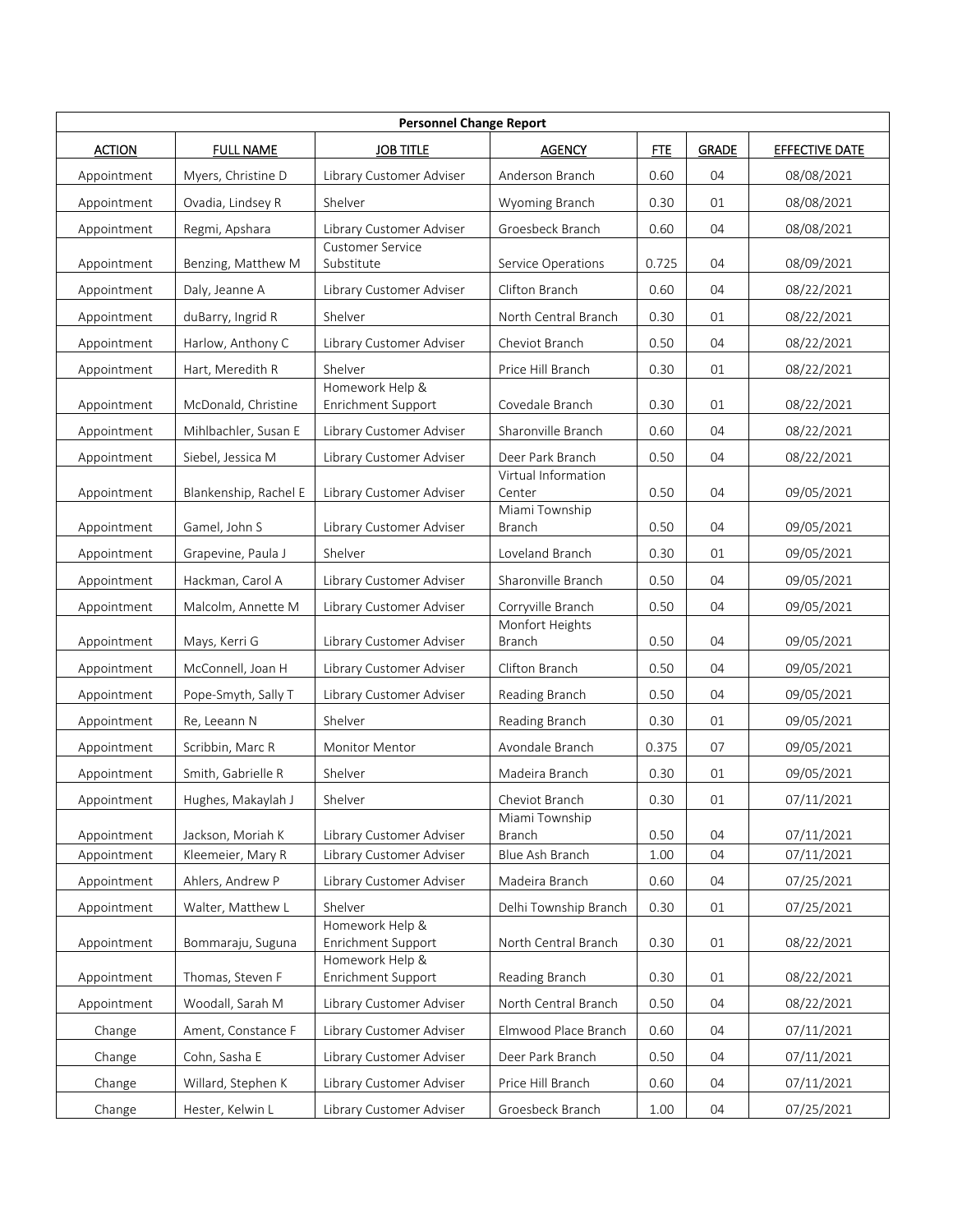| <b>Personnel Change Report</b> |                       |                                       |                                 |            |              |                       |  |
|--------------------------------|-----------------------|---------------------------------------|---------------------------------|------------|--------------|-----------------------|--|
| <b>ACTION</b>                  | <b>FULL NAME</b>      | <b>JOB TITLE</b>                      | <b>AGENCY</b>                   | <b>FTE</b> | <b>GRADE</b> | <b>EFFECTIVE DATE</b> |  |
| Appointment                    | Myers, Christine D    | Library Customer Adviser              | Anderson Branch                 | 0.60       | 04           | 08/08/2021            |  |
| Appointment                    | Ovadia, Lindsey R     | Shelver                               | Wyoming Branch                  | 0.30       | 01           | 08/08/2021            |  |
| Appointment                    | Regmi, Apshara        | Library Customer Adviser              | Groesbeck Branch                | 0.60       | 04           | 08/08/2021            |  |
| Appointment                    | Benzing, Matthew M    | <b>Customer Service</b><br>Substitute | Service Operations              | 0.725      | 04           | 08/09/2021            |  |
| Appointment                    | Daly, Jeanne A        | Library Customer Adviser              | Clifton Branch                  | 0.60       | 04           | 08/22/2021            |  |
| Appointment                    | duBarry, Ingrid R     | Shelver                               | North Central Branch            | 0.30       | 01           | 08/22/2021            |  |
| Appointment                    | Harlow, Anthony C     | Library Customer Adviser              | Cheviot Branch                  | 0.50       | 04           | 08/22/2021            |  |
| Appointment                    | Hart, Meredith R      | Shelver                               | Price Hill Branch               | 0.30       | 01           | 08/22/2021            |  |
| Appointment                    | McDonald, Christine   | Homework Help &<br>Enrichment Support | Covedale Branch                 | 0.30       | 01           | 08/22/2021            |  |
| Appointment                    | Mihlbachler, Susan E  | Library Customer Adviser              | Sharonville Branch              | 0.60       | 04           | 08/22/2021            |  |
| Appointment                    | Siebel, Jessica M     | Library Customer Adviser              | Deer Park Branch                | 0.50       | 04           | 08/22/2021            |  |
| Appointment                    | Blankenship, Rachel E | Library Customer Adviser              | Virtual Information<br>Center   | 0.50       | 04           | 09/05/2021            |  |
| Appointment                    | Gamel, John S         | Library Customer Adviser              | Miami Township<br><b>Branch</b> | 0.50       | 04           | 09/05/2021            |  |
| Appointment                    | Grapevine, Paula J    | Shelver                               | Loveland Branch                 | 0.30       | 01           | 09/05/2021            |  |
| Appointment                    | Hackman, Carol A      | Library Customer Adviser              | Sharonville Branch              | 0.50       | 04           | 09/05/2021            |  |
| Appointment                    | Malcolm, Annette M    | Library Customer Adviser              | Corryville Branch               | 0.50       | 04           | 09/05/2021            |  |
| Appointment                    | Mays, Kerri G         | Library Customer Adviser              | Monfort Heights<br>Branch       | 0.50       | 04           | 09/05/2021            |  |
| Appointment                    | McConnell, Joan H     | Library Customer Adviser              | Clifton Branch                  | 0.50       | 04           | 09/05/2021            |  |
| Appointment                    | Pope-Smyth, Sally T   | Library Customer Adviser              | Reading Branch                  | 0.50       | 04           | 09/05/2021            |  |
| Appointment                    | Re, Leeann N          | Shelver                               | Reading Branch                  | 0.30       | 01           | 09/05/2021            |  |
| Appointment                    | Scribbin, Marc R      | Monitor Mentor                        | Avondale Branch                 | 0.375      | 07           | 09/05/2021            |  |
| Appointment                    | Smith, Gabrielle R    | Shelver                               | Madeira Branch                  | 0.30       | 01           | 09/05/2021            |  |
| Appointment                    | Hughes, Makaylah J    | Shelver                               | Cheviot Branch                  | 0.30       | 01           | 07/11/2021            |  |
| Appointment                    | Jackson, Moriah K     | Library Customer Adviser              | Miami Township<br><b>Branch</b> | 0.50       | 04           | 07/11/2021            |  |
| Appointment                    | Kleemeier, Mary R     | Library Customer Adviser              | Blue Ash Branch                 | 1.00       | 04           | 07/11/2021            |  |
| Appointment                    | Ahlers, Andrew P      | Library Customer Adviser              | Madeira Branch                  | 0.60       | 04           | 07/25/2021            |  |
| Appointment                    | Walter, Matthew L     | Shelver                               | Delhi Township Branch           | 0.30       | 01           | 07/25/2021            |  |
| Appointment                    | Bommaraju, Suguna     | Homework Help &<br>Enrichment Support | North Central Branch            | 0.30       | 01           | 08/22/2021            |  |
| Appointment                    | Thomas, Steven F      | Homework Help &<br>Enrichment Support | Reading Branch                  | 0.30       | 01           | 08/22/2021            |  |
| Appointment                    | Woodall, Sarah M      | Library Customer Adviser              | North Central Branch            | 0.50       | 04           | 08/22/2021            |  |
| Change                         | Ament, Constance F    | Library Customer Adviser              | Elmwood Place Branch            | 0.60       | 04           | 07/11/2021            |  |
| Change                         | Cohn, Sasha E         | Library Customer Adviser              | Deer Park Branch                | 0.50       | 04           | 07/11/2021            |  |
| Change                         | Willard, Stephen K    | Library Customer Adviser              | Price Hill Branch               | 0.60       | 04           | 07/11/2021            |  |
| Change                         | Hester, Kelwin L      | Library Customer Adviser              | Groesbeck Branch                | 1.00       | 04           | 07/25/2021            |  |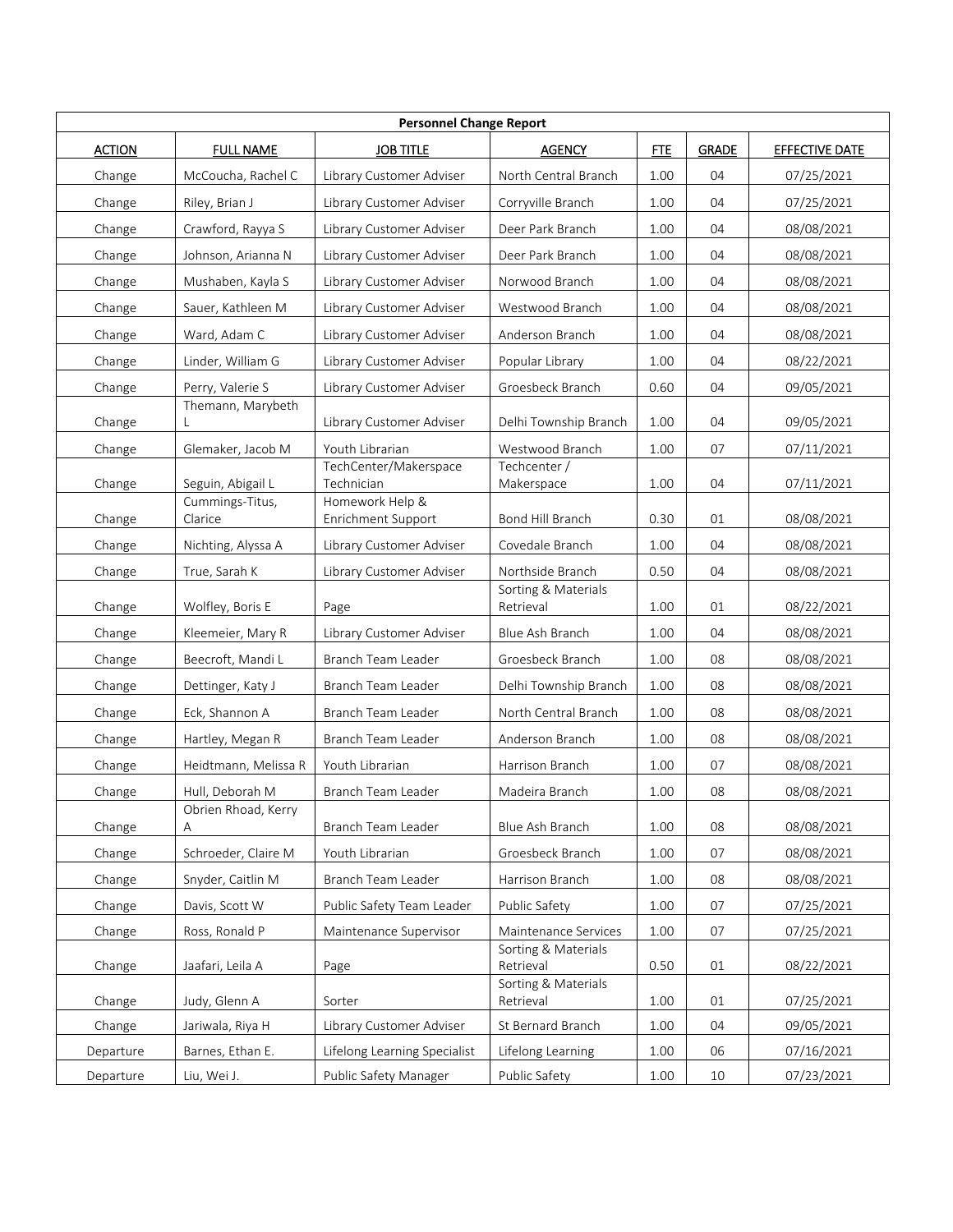| <b>Personnel Change Report</b> |                                      |                               |                                  |            |              |                       |  |
|--------------------------------|--------------------------------------|-------------------------------|----------------------------------|------------|--------------|-----------------------|--|
| <b>ACTION</b>                  | <b>FULL NAME</b>                     | <b>JOB TITLE</b>              | <b>AGENCY</b>                    | <b>FTE</b> | <b>GRADE</b> | <b>EFFECTIVE DATE</b> |  |
| Change                         | McCoucha, Rachel C                   | Library Customer Adviser      | North Central Branch             | 1.00       | 04           | 07/25/2021            |  |
| Change                         | Riley, Brian J                       | Library Customer Adviser      | Corryville Branch                | 1.00       | 04           | 07/25/2021            |  |
| Change                         | Crawford, Rayya S                    | Library Customer Adviser      | Deer Park Branch                 | 1.00       | 04           | 08/08/2021            |  |
| Change                         | Johnson, Arianna N                   | Library Customer Adviser      | Deer Park Branch                 | 1.00       | 04           | 08/08/2021            |  |
| Change                         | Mushaben, Kayla S                    | Library Customer Adviser      | Norwood Branch                   | 1.00       | 04           | 08/08/2021            |  |
| Change                         | Sauer, Kathleen M                    | Library Customer Adviser      | Westwood Branch                  | 1.00       | 04           | 08/08/2021            |  |
| Change                         | Ward, Adam C                         | Library Customer Adviser      | Anderson Branch                  | 1.00       | 04           | 08/08/2021            |  |
| Change                         | Linder, William G                    | Library Customer Adviser      | Popular Library                  | 1.00       | 04           | 08/22/2021            |  |
| Change                         | Perry, Valerie S                     | Library Customer Adviser      | Groesbeck Branch                 | 0.60       | 04           | 09/05/2021            |  |
| Change                         | Themann, Marybeth                    | Library Customer Adviser      | Delhi Township Branch            | 1.00       | 04           | 09/05/2021            |  |
| Change                         | Glemaker, Jacob M                    | Youth Librarian               | Westwood Branch                  | 1.00       | 07           | 07/11/2021            |  |
|                                |                                      | TechCenter/Makerspace         | Techcenter /                     |            |              |                       |  |
| Change                         | Seguin, Abigail L<br>Cummings-Titus, | Technician<br>Homework Help & | Makerspace                       | 1.00       | 04           | 07/11/2021            |  |
| Change                         | Clarice                              | Enrichment Support            | Bond Hill Branch                 | 0.30       | 01           | 08/08/2021            |  |
| Change                         | Nichting, Alyssa A                   | Library Customer Adviser      | Covedale Branch                  | 1.00       | 04           | 08/08/2021            |  |
| Change                         | True, Sarah K                        | Library Customer Adviser      | Northside Branch<br>0.50         |            | 04           | 08/08/2021            |  |
| Change                         | Wolfley, Boris E                     | Page                          | Sorting & Materials<br>Retrieval | 1.00       | 01           | 08/22/2021            |  |
| Change                         | Kleemeier, Mary R                    | Library Customer Adviser      | Blue Ash Branch                  | 1.00       | 04           | 08/08/2021            |  |
| Change                         | Beecroft, Mandi L                    | Branch Team Leader            | Groesbeck Branch                 | 1.00       | 08           | 08/08/2021            |  |
| Change                         | Dettinger, Katy J                    | Branch Team Leader            | Delhi Township Branch            | 1.00       | 08           | 08/08/2021            |  |
| Change                         | Eck, Shannon A                       | Branch Team Leader            | North Central Branch             | 1.00       | 08           | 08/08/2021            |  |
| Change                         | Hartley, Megan R                     | Branch Team Leader            | Anderson Branch                  | 1.00       | 08           | 08/08/2021            |  |
| Change                         | Heidtmann, Melissa R                 | Youth Librarian               | Harrison Branch                  | 1.00       | 07           | 08/08/2021            |  |
| Change                         | Hull, Deborah M                      | Branch Team Leader            | Madeira Branch                   | 1.00       | 08           | 08/08/2021            |  |
| Change                         | Obrien Rhoad, Kerry<br>Α             | Branch Team Leader            | Blue Ash Branch                  | 1.00       | 08           | 08/08/2021            |  |
| Change                         | Schroeder, Claire M                  | Youth Librarian               | Groesbeck Branch                 | 1.00       | 07           | 08/08/2021            |  |
| Change                         | Snyder, Caitlin M                    | Branch Team Leader            | Harrison Branch                  | 1.00       | 08           | 08/08/2021            |  |
| Change                         | Davis, Scott W                       | Public Safety Team Leader     | Public Safety                    | 1.00       | 07           | 07/25/2021            |  |
| Change                         | Ross, Ronald P                       | Maintenance Supervisor        | Maintenance Services             | 1.00       | 07           | 07/25/2021            |  |
| Change                         | Jaafari, Leila A                     | Page                          | Sorting & Materials<br>Retrieval | 0.50       | 01           | 08/22/2021            |  |
| Change                         | Judy, Glenn A                        | Sorter                        | Sorting & Materials<br>Retrieval | 1.00       | 01           | 07/25/2021            |  |
| Change                         | Jariwala, Riya H                     | Library Customer Adviser      | St Bernard Branch                | 1.00       | 04           | 09/05/2021            |  |
| Departure                      | Barnes, Ethan E.                     | Lifelong Learning Specialist  | Lifelong Learning                | $1.00\,$   | 06           | 07/16/2021            |  |
| Departure                      | Liu, Wei J.                          | Public Safety Manager         | Public Safety                    | 1.00       | 10           | 07/23/2021            |  |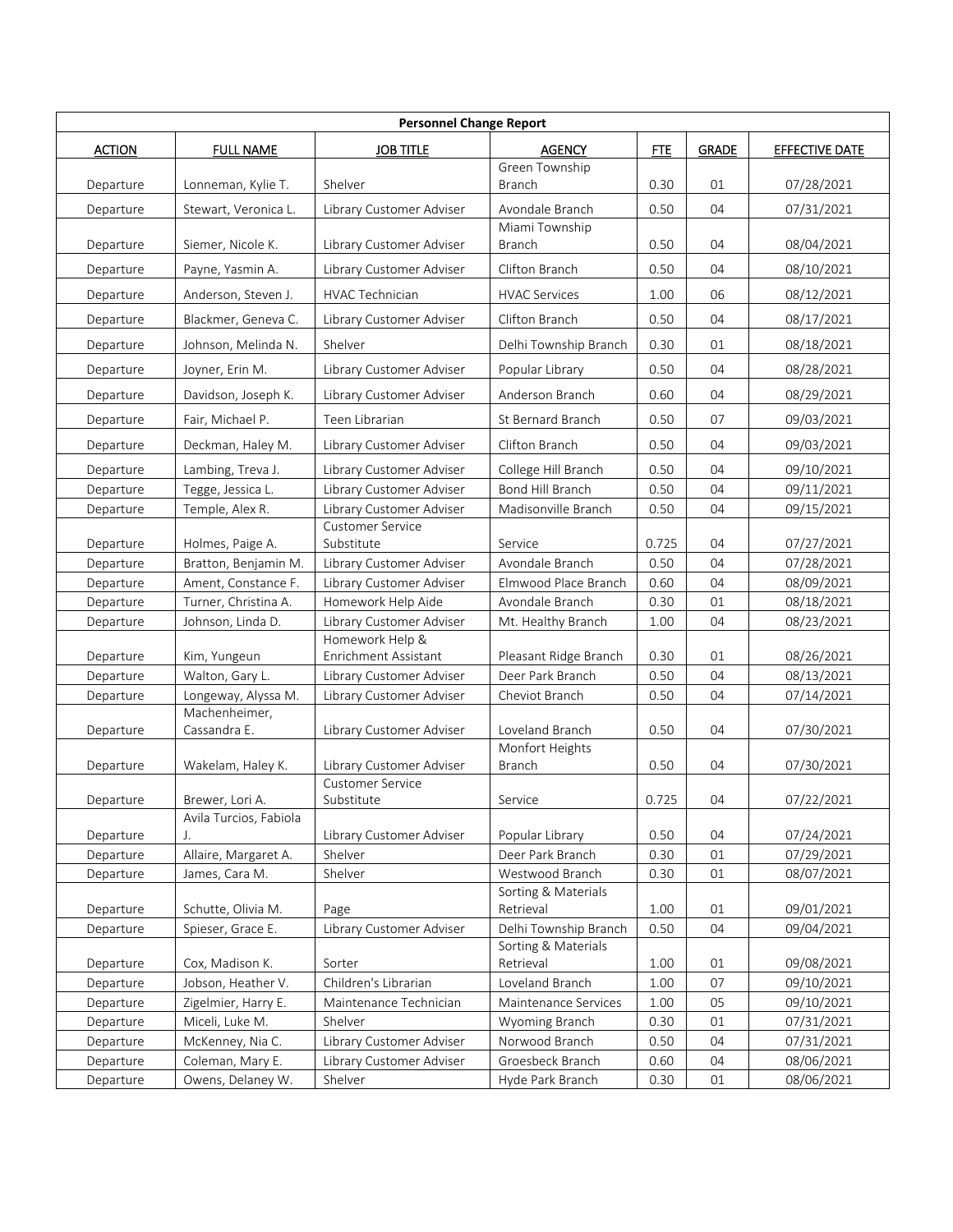| <b>Personnel Change Report</b> |                        |                                         |                                 |            |              |                       |  |
|--------------------------------|------------------------|-----------------------------------------|---------------------------------|------------|--------------|-----------------------|--|
| <b>ACTION</b>                  | <b>FULL NAME</b>       | <b>JOB TITLE</b>                        | <b>AGENCY</b>                   | <b>FTE</b> | <b>GRADE</b> | <b>EFFECTIVE DATE</b> |  |
| Departure                      | Lonneman, Kylie T.     | Shelver                                 | Green Township<br><b>Branch</b> | 0.30       | 01           | 07/28/2021            |  |
| Departure                      | Stewart, Veronica L.   | Library Customer Adviser                | Avondale Branch                 | 0.50       | 04           | 07/31/2021            |  |
| Departure                      | Siemer, Nicole K.      | Library Customer Adviser                | Miami Township<br>Branch        | 0.50       | 04           | 08/04/2021            |  |
| Departure                      | Payne, Yasmin A.       | Library Customer Adviser                | Clifton Branch                  | 0.50       | 04           | 08/10/2021            |  |
| Departure                      | Anderson, Steven J.    | HVAC Technician                         | <b>HVAC Services</b>            | 1.00       | 06           | 08/12/2021            |  |
| Departure                      | Blackmer, Geneva C.    | Library Customer Adviser                | Clifton Branch                  | 0.50       | 04           | 08/17/2021            |  |
| Departure                      | Johnson, Melinda N.    | Shelver                                 | Delhi Township Branch           | 0.30       | 01           | 08/18/2021            |  |
| Departure                      | Joyner, Erin M.        | Library Customer Adviser                | Popular Library                 | 0.50       | 04           | 08/28/2021            |  |
| Departure                      | Davidson, Joseph K.    | Library Customer Adviser                | Anderson Branch                 | 0.60       | 04           | 08/29/2021            |  |
| Departure                      | Fair, Michael P.       | Teen Librarian                          | St Bernard Branch               | 0.50       | 07           | 09/03/2021            |  |
|                                |                        |                                         | Clifton Branch                  |            | 04           |                       |  |
| Departure                      | Deckman, Haley M.      | Library Customer Adviser                |                                 | 0.50       |              | 09/03/2021            |  |
| Departure                      | Lambing, Treva J.      | Library Customer Adviser                | College Hill Branch             | 0.50       | 04           | 09/10/2021            |  |
| Departure                      | Tegge, Jessica L.      | Library Customer Adviser                | Bond Hill Branch                | 0.50       | 04           | 09/11/2021            |  |
| Departure                      | Temple, Alex R.        | Library Customer Adviser                | Madisonville Branch             | 0.50       | 04           | 09/15/2021            |  |
|                                |                        | <b>Customer Service</b>                 |                                 |            |              |                       |  |
| Departure                      | Holmes, Paige A.       | Substitute                              | Service                         | 0.725      | 04           | 07/27/2021            |  |
| Departure                      | Bratton, Benjamin M.   | Library Customer Adviser                | Avondale Branch                 | 0.50       | 04           | 07/28/2021            |  |
| Departure                      | Ament, Constance F.    | Library Customer Adviser                | Elmwood Place Branch            | 0.60       | 04           | 08/09/2021            |  |
| Departure                      | Turner, Christina A.   | Homework Help Aide                      | Avondale Branch                 | 0.30       | 01           | 08/18/2021            |  |
| Departure                      | Johnson, Linda D.      | Library Customer Adviser                | Mt. Healthy Branch              | 1.00       | 04           | 08/23/2021            |  |
| Departure                      | Kim, Yungeun           | Homework Help &<br>Enrichment Assistant | Pleasant Ridge Branch           | 0.30       | 01           | 08/26/2021            |  |
| Departure                      | Walton, Gary L.        | Library Customer Adviser                | Deer Park Branch                | 0.50       | 04           | 08/13/2021            |  |
| Departure                      | Longeway, Alyssa M.    | Library Customer Adviser                | Cheviot Branch                  | 0.50       | 04           | 07/14/2021            |  |
|                                | Machenheimer,          |                                         |                                 |            |              |                       |  |
| Departure                      | Cassandra E.           | Library Customer Adviser                | Loveland Branch                 | 0.50       | 04           | 07/30/2021            |  |
|                                |                        |                                         | Monfort Heights                 |            |              |                       |  |
| Departure                      | Wakelam, Haley K.      | Library Customer Adviser                | Branch                          | 0.50       | 04           | 07/30/2021            |  |
| Departure                      | Brewer, Lori A.        | <b>Customer Service</b><br>Substitute   | Service                         | 0.725      | 04           | 07/22/2021            |  |
|                                | Avila Turcios, Fabiola |                                         |                                 |            |              |                       |  |
| Departure                      |                        | Library Customer Adviser                | Popular Library                 | 0.50       | 04           | 07/24/2021            |  |
| Departure                      | Allaire, Margaret A.   | Shelver                                 | Deer Park Branch                | 0.30       | 01           | 07/29/2021            |  |
| Departure                      | James, Cara M.         | Shelver                                 | Westwood Branch                 | 0.30       | 01           | 08/07/2021            |  |
|                                |                        |                                         | Sorting & Materials             |            |              |                       |  |
| Departure                      | Schutte, Olivia M.     | Page                                    | Retrieval                       | 1.00       | 01           | 09/01/2021            |  |
| Departure                      | Spieser, Grace E.      | Library Customer Adviser                | Delhi Township Branch           | 0.50       | 04           | 09/04/2021            |  |
|                                |                        |                                         | Sorting & Materials             |            |              |                       |  |
| Departure                      | Cox, Madison K.        | Sorter                                  | Retrieval                       | 1.00       | 01           | 09/08/2021            |  |
| Departure                      | Jobson, Heather V.     | Children's Librarian                    | Loveland Branch                 | 1.00       | 07           | 09/10/2021            |  |
| Departure                      | Zigelmier, Harry E.    | Maintenance Technician                  | Maintenance Services            | 1.00       | 05           | 09/10/2021            |  |
| Departure                      | Miceli, Luke M.        | Shelver                                 | Wyoming Branch                  | 0.30       | 01           | 07/31/2021            |  |
| Departure                      | McKenney, Nia C.       | Library Customer Adviser                | Norwood Branch                  | 0.50       | 04           | 07/31/2021            |  |
| Departure                      | Coleman, Mary E.       | Library Customer Adviser                | Groesbeck Branch                | 0.60       | 04           | 08/06/2021            |  |
| Departure                      | Owens, Delaney W.      | Shelver                                 | Hyde Park Branch                | 0.30       | 01           | 08/06/2021            |  |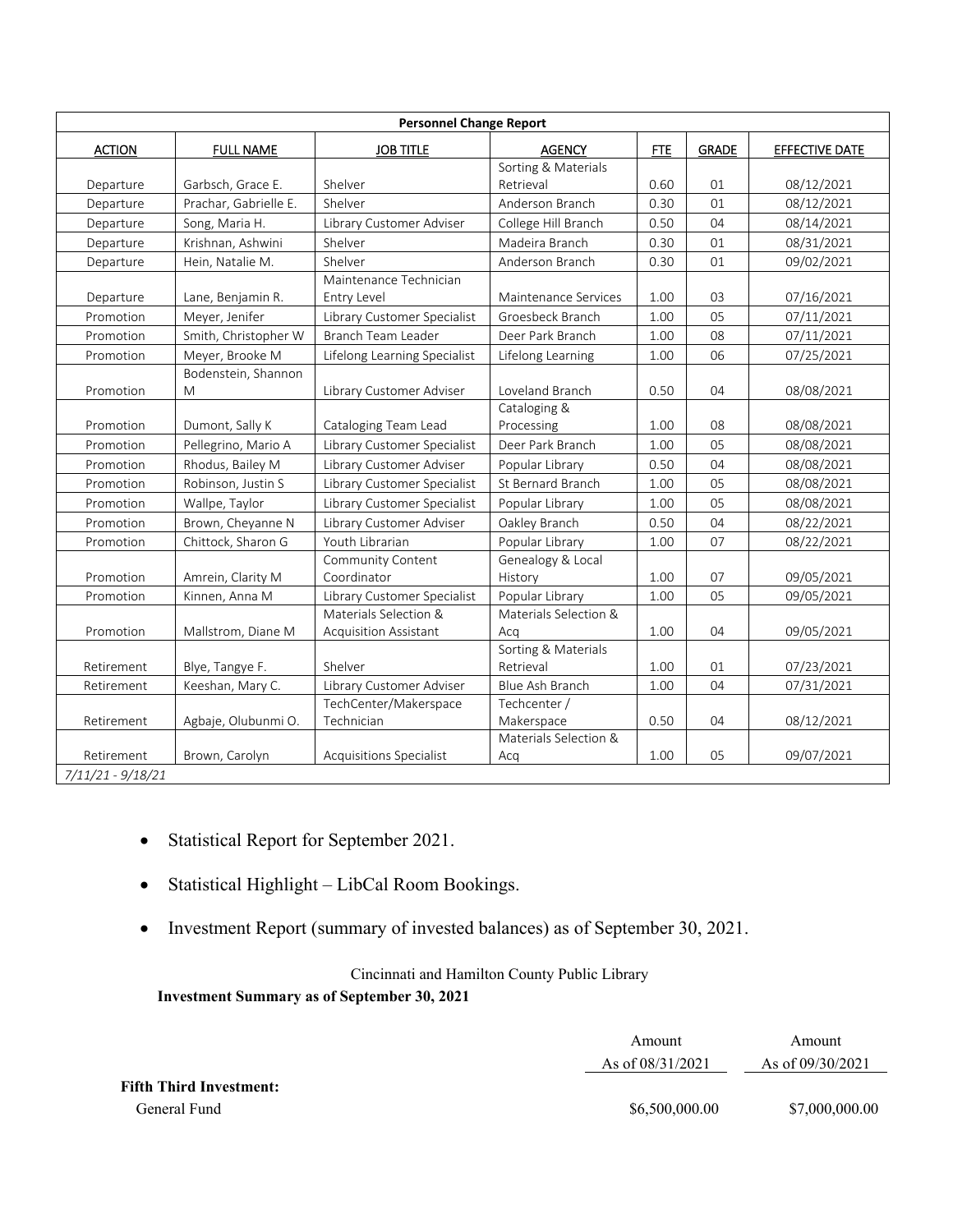| <b>Personnel Change Report</b>  |                          |                                                       |                                  |            |              |                       |
|---------------------------------|--------------------------|-------------------------------------------------------|----------------------------------|------------|--------------|-----------------------|
| <b>ACTION</b>                   | <b>FULL NAME</b>         | <b>JOB TITLE</b>                                      | <b>AGENCY</b>                    | <b>FTE</b> | <b>GRADE</b> | <b>EFFECTIVE DATE</b> |
|                                 |                          |                                                       | Sorting & Materials              |            |              |                       |
| Departure                       | Garbsch, Grace E.        | Shelver                                               | Retrieval                        | 0.60       | 01           | 08/12/2021            |
| Departure                       | Prachar, Gabrielle E.    | Shelver                                               | Anderson Branch                  | 0.30       | 01           | 08/12/2021            |
| Departure                       | Song, Maria H.           | Library Customer Adviser                              | College Hill Branch              | 0.50       | 04           | 08/14/2021            |
| Departure                       | Krishnan, Ashwini        | Shelver                                               | Madeira Branch                   | 0.30       | 01           | 08/31/2021            |
| Departure                       | Hein, Natalie M.         | Shelver                                               | Anderson Branch                  | 0.30       | 01           | 09/02/2021            |
| Departure                       | Lane, Benjamin R.        | Maintenance Technician<br>Entry Level                 | Maintenance Services             | 1.00       | 03           | 07/16/2021            |
| Promotion                       | Meyer, Jenifer           | Library Customer Specialist                           | Groesbeck Branch                 | 1.00       | 05           | 07/11/2021            |
| Promotion                       | Smith, Christopher W     | Branch Team Leader                                    | Deer Park Branch                 | 1.00       | 08           | 07/11/2021            |
| Promotion                       | Meyer, Brooke M          | Lifelong Learning Specialist                          | Lifelong Learning                | 1.00       | 06           | 07/25/2021            |
| Promotion                       | Bodenstein, Shannon<br>M | Library Customer Adviser                              | Loveland Branch                  | 0.50       | 04           | 08/08/2021            |
| Promotion                       | Dumont, Sally K          | Cataloging Team Lead                                  | Cataloging &<br>Processing       | 1.00       | 08           | 08/08/2021            |
| Promotion                       | Pellegrino, Mario A      | Library Customer Specialist                           | Deer Park Branch                 | 1.00       | 05           | 08/08/2021            |
| Promotion                       | Rhodus, Bailey M         | Library Customer Adviser                              | Popular Library                  | 0.50       | 04           | 08/08/2021            |
| Promotion                       | Robinson, Justin S       | Library Customer Specialist                           | St Bernard Branch                | 1.00       | 05           | 08/08/2021            |
| Promotion                       | Wallpe, Taylor           | Library Customer Specialist                           | Popular Library                  | 1.00       | 05           | 08/08/2021            |
| Promotion                       | Brown, Cheyanne N        | Library Customer Adviser                              | Oakley Branch                    | 0.50       | 04           | 08/22/2021            |
| Promotion                       | Chittock, Sharon G       | Youth Librarian                                       | Popular Library                  | 1.00       | 07           | 08/22/2021            |
| Promotion                       | Amrein, Clarity M        | Community Content<br>Coordinator                      | Genealogy & Local<br>History     | 1.00       | 07           | 09/05/2021            |
| Promotion                       | Kinnen, Anna M           | Library Customer Specialist                           | Popular Library                  | 1.00       | 05           | 09/05/2021            |
| Promotion                       | Mallstrom, Diane M       | Materials Selection &<br><b>Acquisition Assistant</b> | Materials Selection &<br>Acq     | 1.00       | 04           | 09/05/2021            |
| Retirement                      | Blye, Tangye F.          | Shelver                                               | Sorting & Materials<br>Retrieval | 1.00       | 01           | 07/23/2021            |
| Retirement                      | Keeshan, Mary C.         | Library Customer Adviser                              | <b>Blue Ash Branch</b>           | 1.00       | 04           | 07/31/2021            |
| Retirement                      | Agbaje, Olubunmi O.      | TechCenter/Makerspace<br>Technician                   | Techcenter /<br>Makerspace       | 0.50       | 04           | 08/12/2021            |
| Retirement<br>7/11/21 - 9/18/21 | Brown, Carolyn           | Acquisitions Specialist                               | Materials Selection &<br>Acq     | 1.00       | 05           | 09/07/2021            |

- Statistical Report for September 2021.
- Statistical Highlight LibCal Room Bookings.
- Investment Report (summary of invested balances) as of September 30, 2021.

Cincinnati and Hamilton County Public Library **Investment Summary as of September 30, 2021** 

|                                | Amount             | Amount             |  |
|--------------------------------|--------------------|--------------------|--|
|                                | As of $08/31/2021$ | As of $09/30/2021$ |  |
| <b>Fifth Third Investment:</b> |                    |                    |  |
| General Fund                   | \$6,500,000.00     | \$7,000,000.00     |  |